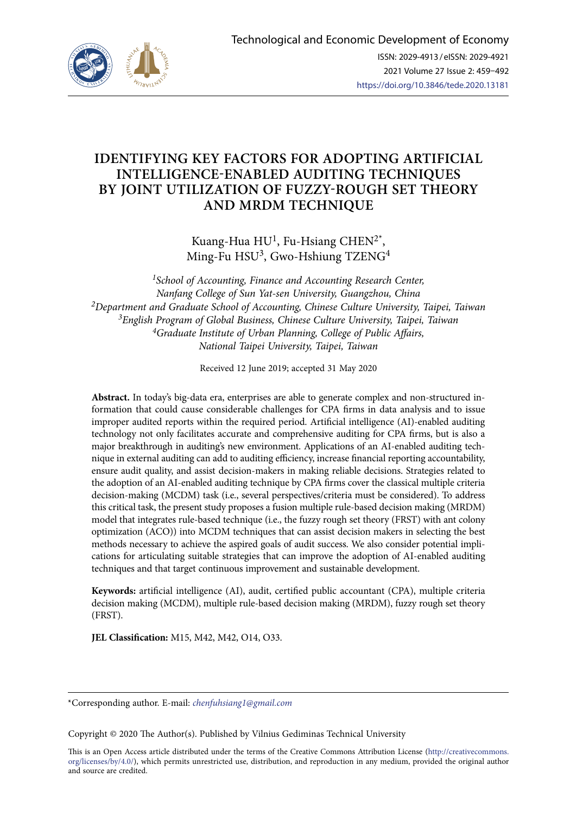

# **IDENTIFYING KEY FACTORS FOR ADOPTING ARTIFICIAL INTELLIGENCE-ENABLED AUDITING TECHNIQUES BY JOINT UTILIZATION OF FUZZY-ROUGH SET THEORY AND MRDM TECHNIQUE**

Kuang-Hua  $HU<sup>1</sup>$ , Fu-Hsiang CHEN<sup>2\*</sup>, Ming-Fu HSU<sup>3</sup>, Gwo-Hshiung TZENG<sup>4</sup>

*1School of Accounting, Finance and Accounting Research Center, Nanfang College of Sun Yat-sen University, Guangzhou, China 2Department and Graduate School of Accounting, Chinese Culture University, Taipei, Taiwan 3English Program of Global Business, Chinese Culture University, Taipei, Taiwan 4Graduate Institute of Urban Planning, College of Public Affairs, National Taipei University, Taipei, Taiwan*

Received 12 June 2019; accepted 31 May 2020

**Abstract.** In today's big-data era, enterprises are able to generate complex and non-structured information that could cause considerable challenges for CPA firms in data analysis and to issue improper audited reports within the required period. Artificial intelligence (AI)-enabled auditing technology not only facilitates accurate and comprehensive auditing for CPA firms, but is also a major breakthrough in auditing's new environment. Applications of an AI-enabled auditing technique in external auditing can add to auditing efficiency, increase financial reporting accountability, ensure audit quality, and assist decision-makers in making reliable decisions. Strategies related to the adoption of an AI-enabled auditing technique by CPA firms cover the classical multiple criteria decision-making (MCDM) task (i.e., several perspectives/criteria must be considered). To address this critical task, the present study proposes a fusion multiple rule-based decision making (MRDM) model that integrates rule-based technique (i.e., the fuzzy rough set theory (FRST) with ant colony optimization (ACO)) into MCDM techniques that can assist decision makers in selecting the best methods necessary to achieve the aspired goals of audit success. We also consider potential implications for articulating suitable strategies that can improve the adoption of AI-enabled auditing techniques and that target continuous improvement and sustainable development.

**Keywords:** artificial intelligence (AI), audit, certified public accountant (CPA), multiple criteria decision making (MCDM), multiple rule-based decision making (MRDM), fuzzy rough set theory (FRST).

**JEL Classification:** M15, M42, M42, O14, O33.

\*Corresponding author. E-mail: *chenfuhsiang1@gmail.com*

Copyright © 2020 The Author(s). Published by Vilnius Gediminas Technical University

This is an Open Access article distributed under the terms of the Creative Commons Attribution License ([http://creativecommons.](http://dx.doi.org/10.1016/S0377-2217(03)00091-2) [org/licenses/by/4.0/\)](http://dx.doi.org/10.1016/S0377-2217(03)00091-2), which permits unrestricted use, distribution, and reproduction in any medium, provided the original author and source are credited.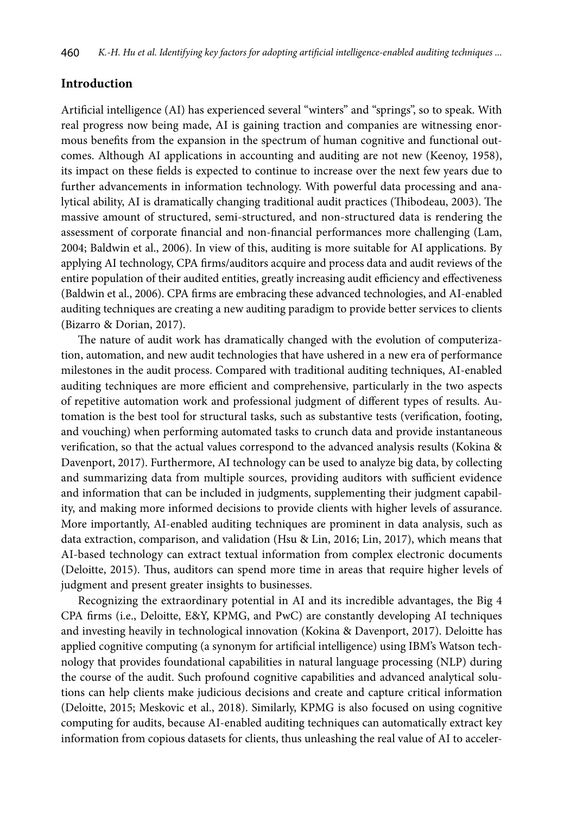# **Introduction**

Artificial intelligence (AI) has experienced several "winters" and "springs", so to speak. With real progress now being made, AI is gaining traction and companies are witnessing enormous benefits from the expansion in the spectrum of human cognitive and functional outcomes. Although AI applications in accounting and auditing are not new (Keenoy, 1958), its impact on these fields is expected to continue to increase over the next few years due to further advancements in information technology. With powerful data processing and analytical ability, AI is dramatically changing traditional audit practices (Thibodeau, 2003). The massive amount of structured, semi-structured, and non-structured data is rendering the assessment of corporate financial and non-financial performances more challenging (Lam, 2004; Baldwin et al., 2006). In view of this, auditing is more suitable for AI applications. By applying AI technology, CPA firms/auditors acquire and process data and audit reviews of the entire population of their audited entities, greatly increasing audit efficiency and effectiveness (Baldwin et al., 2006). CPA firms are embracing these advanced technologies, and AI-enabled auditing techniques are creating a new auditing paradigm to provide better services to clients (Bizarro & Dorian, 2017).

The nature of audit work has dramatically changed with the evolution of computerization, automation, and new audit technologies that have ushered in a new era of performance milestones in the audit process. Compared with traditional auditing techniques, AI-enabled auditing techniques are more efficient and comprehensive, particularly in the two aspects of repetitive automation work and professional judgment of different types of results. Automation is the best tool for structural tasks, such as substantive tests (verification, footing, and vouching) when performing automated tasks to crunch data and provide instantaneous verification, so that the actual values correspond to the advanced analysis results (Kokina & Davenport, 2017). Furthermore, AI technology can be used to analyze big data, by collecting and summarizing data from multiple sources, providing auditors with sufficient evidence and information that can be included in judgments, supplementing their judgment capability, and making more informed decisions to provide clients with higher levels of assurance. More importantly, AI-enabled auditing techniques are prominent in data analysis, such as data extraction, comparison, and validation (Hsu & Lin, 2016; Lin, 2017), which means that AI-based technology can extract textual information from complex electronic documents (Deloitte, 2015). Thus, auditors can spend more time in areas that require higher levels of judgment and present greater insights to businesses.

Recognizing the extraordinary potential in AI and its incredible advantages, the Big 4 CPA firms (i.e., Deloitte, E&Y, KPMG, and PwC) are constantly developing AI techniques and investing heavily in technological innovation (Kokina & Davenport, 2017). Deloitte has applied cognitive computing (a synonym for artificial intelligence) using IBM's Watson technology that provides foundational capabilities in natural language processing (NLP) during the course of the audit. Such profound cognitive capabilities and advanced analytical solutions can help clients make judicious decisions and create and capture critical information (Deloitte, 2015; Meskovic et al., 2018). Similarly, KPMG is also focused on using cognitive computing for audits, because AI-enabled auditing techniques can automatically extract key information from copious datasets for clients, thus unleashing the real value of AI to acceler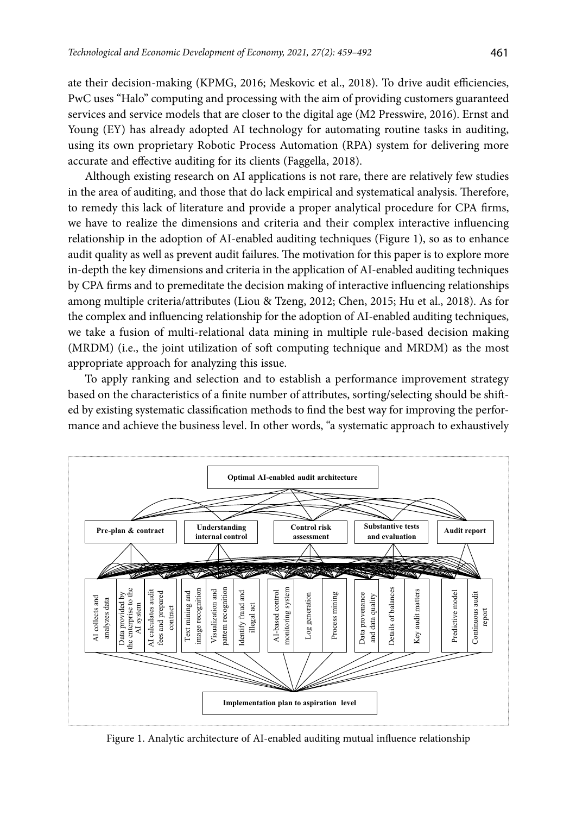ate their decision-making (KPMG, 2016; Meskovic et al., 2018). To drive audit efficiencies, PwC uses "Halo" computing and processing with the aim of providing customers guaranteed services and service models that are closer to the digital age (M2 Presswire, 2016). Ernst and Young (EY) has already adopted AI technology for automating routine tasks in auditing, using its own proprietary Robotic Process Automation (RPA) system for delivering more accurate and effective auditing for its clients (Faggella, 2018).

Although existing research on AI applications is not rare, there are relatively few studies in the area of auditing, and those that do lack empirical and systematical analysis. Therefore, to remedy this lack of literature and provide a proper analytical procedure for CPA firms, we have to realize the dimensions and criteria and their complex interactive influencing relationship in the adoption of AI-enabled auditing techniques (Figure 1), so as to enhance audit quality as well as prevent audit failures. The motivation for this paper is to explore more in-depth the key dimensions and criteria in the application of AI-enabled auditing techniques by CPA firms and to premeditate the decision making of interactive influencing relationships among multiple criteria/attributes (Liou & Tzeng, 2012; Chen, 2015; Hu et al., 2018). As for the complex and influencing relationship for the adoption of AI-enabled auditing techniques, we take a fusion of multi-relational data mining in multiple rule-based decision making (MRDM) (i.e., the joint utilization of soft computing technique and MRDM) as the most appropriate approach for analyzing this issue.

To apply ranking and selection and to establish a performance improvement strategy based on the characteristics of a finite number of attributes, sorting/selecting should be shifted by existing systematic classification methods to find the best way for improving the performance and achieve the business level. In other words, "a systematic approach to exhaustively



Figure 1. Analytic architecture of AI-enabled auditing mutual influence relationship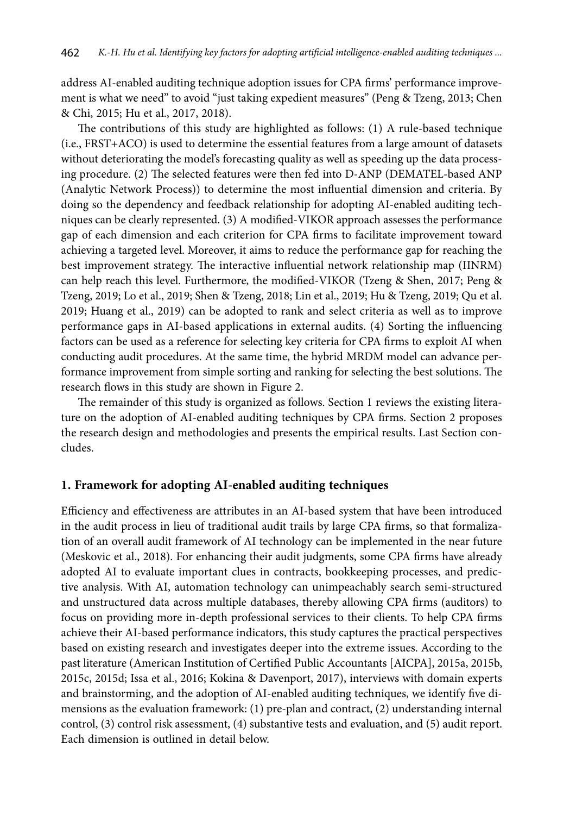address AI-enabled auditing technique adoption issues for CPA firms' performance improvement is what we need" to avoid "just taking expedient measures" (Peng & Tzeng, 2013; Chen & Chi, 2015; Hu et al., 2017, 2018).

The contributions of this study are highlighted as follows: (1) A rule-based technique (i.e., FRST+ACO) is used to determine the essential features from a large amount of datasets without deteriorating the model's forecasting quality as well as speeding up the data processing procedure. (2) The selected features were then fed into D-ANP (DEMATEL-based ANP (Analytic Network Process)) to determine the most influential dimension and criteria. By doing so the dependency and feedback relationship for adopting AI-enabled auditing techniques can be clearly represented. (3) A modified-VIKOR approach assesses the performance gap of each dimension and each criterion for CPA firms to facilitate improvement toward achieving a targeted level. Moreover, it aims to reduce the performance gap for reaching the best improvement strategy. The interactive influential network relationship map (IINRM) can help reach this level. Furthermore, the modified-VIKOR (Tzeng & Shen, 2017; Peng & Tzeng, 2019; Lo et al., 2019; Shen & Tzeng, 2018; Lin et al., 2019; Hu & Tzeng, 2019; Qu et al. 2019; Huang et al., 2019) can be adopted to rank and select criteria as well as to improve performance gaps in AI-based applications in external audits. (4) Sorting the influencing factors can be used as a reference for selecting key criteria for CPA firms to exploit AI when conducting audit procedures. At the same time, the hybrid MRDM model can advance performance improvement from simple sorting and ranking for selecting the best solutions. The research flows in this study are shown in Figure 2.

The remainder of this study is organized as follows. Section 1 reviews the existing literature on the adoption of AI-enabled auditing techniques by CPA firms. Section 2 proposes the research design and methodologies and presents the empirical results. Last Section concludes.

# **1. Framework for adopting AI-enabled auditing techniques**

Efficiency and effectiveness are attributes in an AI-based system that have been introduced in the audit process in lieu of traditional audit trails by large CPA firms, so that formalization of an overall audit framework of AI technology can be implemented in the near future (Meskovic et al., 2018). For enhancing their audit judgments, some CPA firms have already adopted AI to evaluate important clues in contracts, bookkeeping processes, and predictive analysis. With AI, automation technology can unimpeachably search semi-structured and unstructured data across multiple databases, thereby allowing CPA firms (auditors) to focus on providing more in-depth professional services to their clients. To help CPA firms achieve their AI-based performance indicators, this study captures the practical perspectives based on existing research and investigates deeper into the extreme issues. According to the past literature (American Institution of Certified Public Accountants [AICPA], 2015a, 2015b, 2015c, 2015d; Issa et al., 2016; Kokina & Davenport, 2017), interviews with domain experts and brainstorming, and the adoption of AI-enabled auditing techniques, we identify five dimensions as the evaluation framework: (1) pre-plan and contract, (2) understanding internal control, (3) control risk assessment, (4) substantive tests and evaluation, and (5) audit report. Each dimension is outlined in detail below.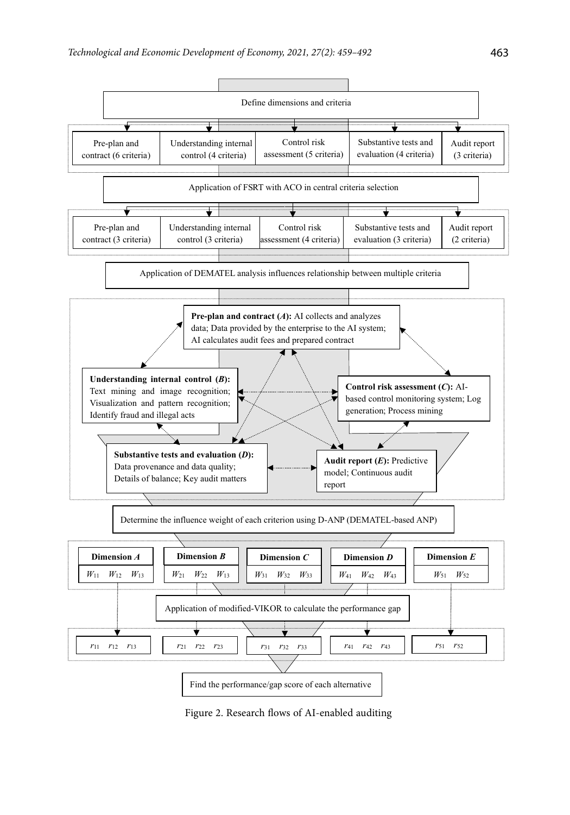

Figure 2. Research flows of AI-enabled auditing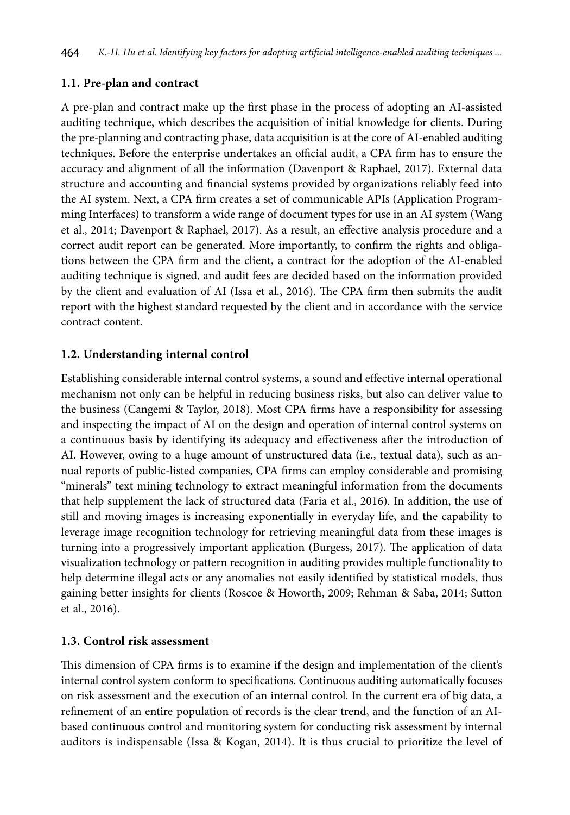# **1.1. Pre-plan and contract**

A pre-plan and contract make up the first phase in the process of adopting an AI-assisted auditing technique, which describes the acquisition of initial knowledge for clients. During the pre-planning and contracting phase, data acquisition is at the core of AI-enabled auditing techniques. Before the enterprise undertakes an official audit, a CPA firm has to ensure the accuracy and alignment of all the information (Davenport & Raphael, 2017). External data structure and accounting and financial systems provided by organizations reliably feed into the AI system. Next, a CPA firm creates a set of communicable APIs (Application Programming Interfaces) to transform a wide range of document types for use in an AI system (Wang et al., 2014; Davenport & Raphael, 2017). As a result, an effective analysis procedure and a correct audit report can be generated. More importantly, to confirm the rights and obligations between the CPA firm and the client, a contract for the adoption of the AI-enabled auditing technique is signed, and audit fees are decided based on the information provided by the client and evaluation of AI (Issa et al., 2016). The CPA firm then submits the audit report with the highest standard requested by the client and in accordance with the service contract content.

# **1.2. Understanding internal control**

Establishing considerable internal control systems, a sound and effective internal operational mechanism not only can be helpful in reducing business risks, but also can deliver value to the business (Cangemi & Taylor, 2018). Most CPA firms have a responsibility for assessing and inspecting the impact of AI on the design and operation of internal control systems on a continuous basis by identifying its adequacy and effectiveness after the introduction of AI. However, owing to a huge amount of unstructured data (i.e., textual data), such as annual reports of public-listed companies, CPA firms can employ considerable and promising "minerals" text mining technology to extract meaningful information from the documents that help supplement the lack of structured data (Faria et al., 2016). In addition, the use of still and moving images is increasing exponentially in everyday life, and the capability to leverage image recognition technology for retrieving meaningful data from these images is turning into a progressively important application (Burgess, 2017). The application of data visualization technology or pattern recognition in auditing provides multiple functionality to help determine illegal acts or any anomalies not easily identified by statistical models, thus gaining better insights for clients (Roscoe & Howorth, 2009; Rehman & Saba, 2014; Sutton et al., 2016).

# **1.3. Control risk assessment**

This dimension of CPA firms is to examine if the design and implementation of the client's internal control system conform to specifications. Continuous auditing automatically focuses on risk assessment and the execution of an internal control. In the current era of big data, a refinement of an entire population of records is the clear trend, and the function of an AIbased continuous control and monitoring system for conducting risk assessment by internal auditors is indispensable (Issa & Kogan, 2014). It is thus crucial to prioritize the level of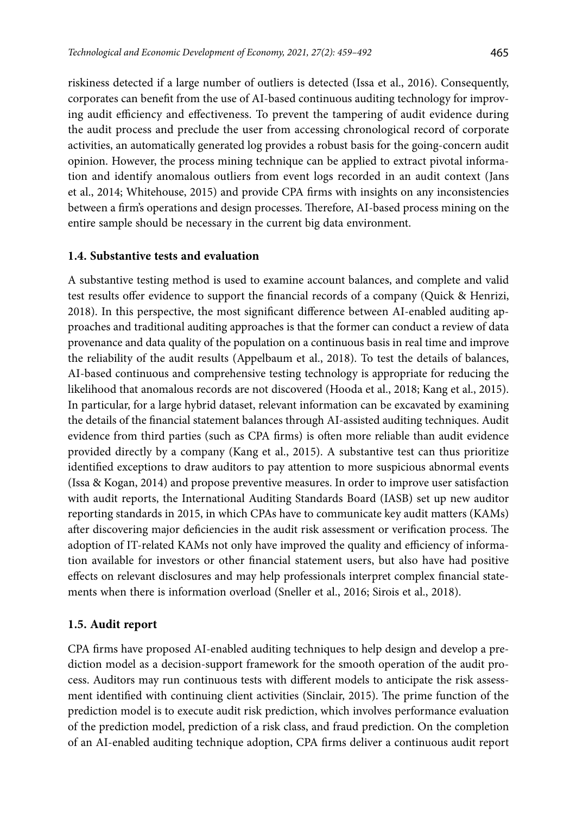riskiness detected if a large number of outliers is detected (Issa et al., 2016). Consequently, corporates can benefit from the use of AI-based continuous auditing technology for improving audit efficiency and effectiveness. To prevent the tampering of audit evidence during the audit process and preclude the user from accessing chronological record of corporate activities, an automatically generated log provides a robust basis for the going-concern audit opinion. However, the process mining technique can be applied to extract pivotal information and identify anomalous outliers from event logs recorded in an audit context (Jans et al., 2014; Whitehouse, 2015) and provide CPA firms with insights on any inconsistencies between a firm's operations and design processes. Therefore, AI-based process mining on the entire sample should be necessary in the current big data environment.

### **1.4. Substantive tests and evaluation**

A substantive testing method is used to examine account balances, and complete and valid test results offer evidence to support the financial records of a company (Quick & Henrizi, 2018). In this perspective, the most significant difference between AI-enabled auditing approaches and traditional auditing approaches is that the former can conduct a review of data provenance and data quality of the population on a continuous basis in real time and improve the reliability of the audit results (Appelbaum et al., 2018). To test the details of balances, AI-based continuous and comprehensive testing technology is appropriate for reducing the likelihood that anomalous records are not discovered (Hooda et al., 2018; Kang et al., 2015). In particular, for a large hybrid dataset, relevant information can be excavated by examining the details of the financial statement balances through AI-assisted auditing techniques. Audit evidence from third parties (such as CPA firms) is often more reliable than audit evidence provided directly by a company (Kang et al., 2015). A substantive test can thus prioritize identified exceptions to draw auditors to pay attention to more suspicious abnormal events (Issa & Kogan, 2014) and propose preventive measures. In order to improve user satisfaction with audit reports, the International Auditing Standards Board (IASB) set up new auditor reporting standards in 2015, in which CPAs have to communicate key audit matters (KAMs) after discovering major deficiencies in the audit risk assessment or verification process. The adoption of IT-related KAMs not only have improved the quality and efficiency of information available for investors or other financial statement users, but also have had positive effects on relevant disclosures and may help professionals interpret complex financial statements when there is information overload (Sneller et al., 2016; Sirois et al., 2018).

#### **1.5. Audit report**

CPA firms have proposed AI-enabled auditing techniques to help design and develop a prediction model as a decision-support framework for the smooth operation of the audit process. Auditors may run continuous tests with different models to anticipate the risk assessment identified with continuing client activities (Sinclair, 2015). The prime function of the prediction model is to execute audit risk prediction, which involves performance evaluation of the prediction model, prediction of a risk class, and fraud prediction. On the completion of an AI-enabled auditing technique adoption, CPA firms deliver a continuous audit report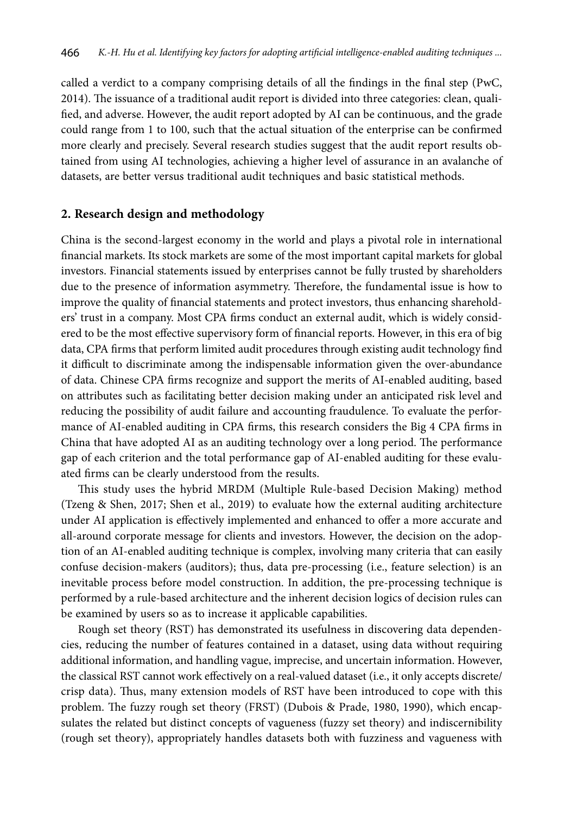called a verdict to a company comprising details of all the findings in the final step (PwC, 2014). The issuance of a traditional audit report is divided into three categories: clean, qualified, and adverse. However, the audit report adopted by AI can be continuous, and the grade could range from 1 to 100, such that the actual situation of the enterprise can be confirmed more clearly and precisely. Several research studies suggest that the audit report results obtained from using AI technologies, achieving a higher level of assurance in an avalanche of datasets, are better versus traditional audit techniques and basic statistical methods.

### **2. Research design and methodology**

China is the second-largest economy in the world and plays a pivotal role in international financial markets. Its stock markets are some of the most important capital markets for global investors. Financial statements issued by enterprises cannot be fully trusted by shareholders due to the presence of information asymmetry. Therefore, the fundamental issue is how to improve the quality of financial statements and protect investors, thus enhancing shareholders' trust in a company. Most CPA firms conduct an external audit, which is widely considered to be the most effective supervisory form of financial reports. However, in this era of big data, CPA firms that perform limited audit procedures through existing audit technology find it difficult to discriminate among the indispensable information given the over-abundance of data. Chinese CPA firms recognize and support the merits of AI-enabled auditing, based on attributes such as facilitating better decision making under an anticipated risk level and reducing the possibility of audit failure and accounting fraudulence. To evaluate the performance of AI-enabled auditing in CPA firms, this research considers the Big 4 CPA firms in China that have adopted AI as an auditing technology over a long period. The performance gap of each criterion and the total performance gap of AI-enabled auditing for these evaluated firms can be clearly understood from the results.

This study uses the hybrid MRDM (Multiple Rule-based Decision Making) method (Tzeng & Shen, 2017; Shen et al., 2019) to evaluate how the external auditing architecture under AI application is effectively implemented and enhanced to offer a more accurate and all-around corporate message for clients and investors. However, the decision on the adoption of an AI-enabled auditing technique is complex, involving many criteria that can easily confuse decision-makers (auditors); thus, data pre-processing (i.e., feature selection) is an inevitable process before model construction. In addition, the pre-processing technique is performed by a rule-based architecture and the inherent decision logics of decision rules can be examined by users so as to increase it applicable capabilities.

Rough set theory (RST) has demonstrated its usefulness in discovering data dependencies, reducing the number of features contained in a dataset, using data without requiring additional information, and handling vague, imprecise, and uncertain information. However, the classical RST cannot work effectively on a real-valued dataset (i.e., it only accepts discrete/ crisp data). Thus, many extension models of RST have been introduced to cope with this problem. The fuzzy rough set theory (FRST) (Dubois & Prade, 1980, 1990), which encapsulates the related but distinct concepts of vagueness (fuzzy set theory) and indiscernibility (rough set theory), appropriately handles datasets both with fuzziness and vagueness with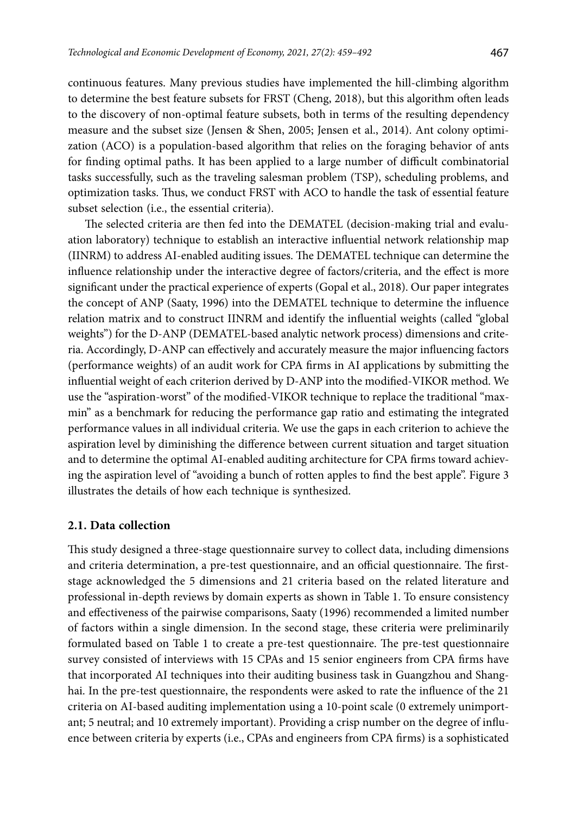continuous features. Many previous studies have implemented the hill-climbing algorithm to determine the best feature subsets for FRST (Cheng, 2018), but this algorithm often leads to the discovery of non-optimal feature subsets, both in terms of the resulting dependency measure and the subset size (Jensen & Shen, 2005; Jensen et al., 2014). Ant colony optimization (ACO) is a population-based algorithm that relies on the foraging behavior of ants for finding optimal paths. It has been applied to a large number of difficult combinatorial tasks successfully, such as the traveling salesman problem (TSP), scheduling problems, and optimization tasks. Thus, we conduct FRST with ACO to handle the task of essential feature subset selection (i.e., the essential criteria).

The selected criteria are then fed into the DEMATEL (decision-making trial and evaluation laboratory) technique to establish an interactive influential network relationship map (IINRM) to address AI-enabled auditing issues. The DEMATEL technique can determine the influence relationship under the interactive degree of factors/criteria, and the effect is more significant under the practical experience of experts (Gopal et al., 2018). Our paper integrates the concept of ANP (Saaty, 1996) into the DEMATEL technique to determine the influence relation matrix and to construct IINRM and identify the influential weights (called "global weights") for the D-ANP (DEMATEL-based analytic network process) dimensions and criteria. Accordingly, D-ANP can effectively and accurately measure the major influencing factors (performance weights) of an audit work for CPA firms in AI applications by submitting the influential weight of each criterion derived by D-ANP into the modified-VIKOR method. We use the "aspiration-worst" of the modified-VIKOR technique to replace the traditional "maxmin" as a benchmark for reducing the performance gap ratio and estimating the integrated performance values in all individual criteria. We use the gaps in each criterion to achieve the aspiration level by diminishing the difference between current situation and target situation and to determine the optimal AI-enabled auditing architecture for CPA firms toward achieving the aspiration level of "avoiding a bunch of rotten apples to find the best apple". Figure 3 illustrates the details of how each technique is synthesized.

## **2.1. Data collection**

This study designed a three-stage questionnaire survey to collect data, including dimensions and criteria determination, a pre-test questionnaire, and an official questionnaire. The firststage acknowledged the 5 dimensions and 21 criteria based on the related literature and professional in-depth reviews by domain experts as shown in Table 1. To ensure consistency and effectiveness of the pairwise comparisons, Saaty (1996) recommended a limited number of factors within a single dimension. In the second stage, these criteria were preliminarily formulated based on Table 1 to create a pre-test questionnaire. The pre-test questionnaire survey consisted of interviews with 15 CPAs and 15 senior engineers from CPA firms have that incorporated AI techniques into their auditing business task in Guangzhou and Shanghai. In the pre-test questionnaire, the respondents were asked to rate the influence of the 21 criteria on AI-based auditing implementation using a 10-point scale (0 extremely unimportant; 5 neutral; and 10 extremely important). Providing a crisp number on the degree of influence between criteria by experts (i.e., CPAs and engineers from CPA firms) is a sophisticated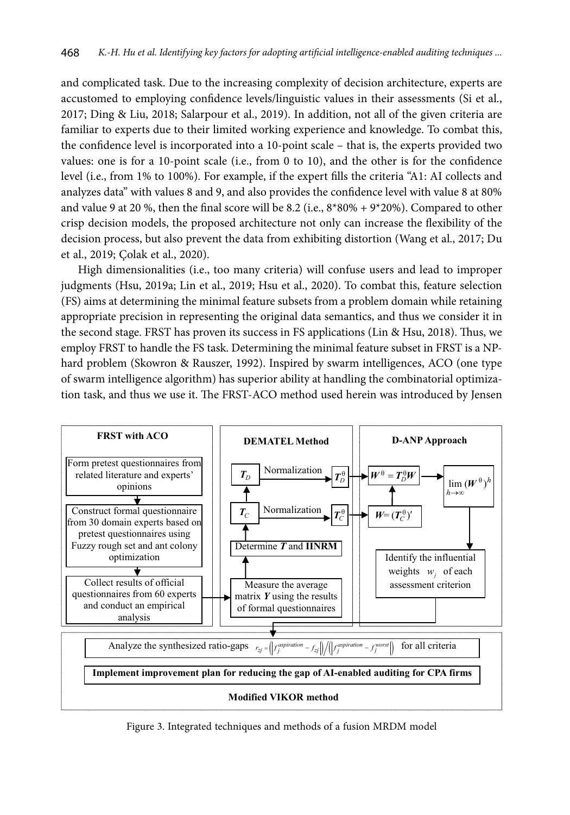and complicated task. Due to the increasing complexity of decision architecture, experts are accustomed to employing confidence levels/linguistic values in their assessments (Si et al., 2017; Ding & Liu, 2018; Salarpour et al., 2019). In addition, not all of the given criteria are familiar to experts due to their limited working experience and knowledge. To combat this, the confidence level is incorporated into a 10-point scale – that is, the experts provided two values: one is for a 10-point scale (i.e., from 0 to 10), and the other is for the confidence level (i.e., from 1% to 100%). For example, if the expert fills the criteria "A1: AI collects and analyzes data" with values 8 and 9, and also provides the confidence level with value 8 at 80% and value 9 at 20 %, then the final score will be 8.2 (i.e.,  $8*80% + 9*20%$ ). Compared to other crisp decision models, the proposed architecture not only can increase the flexibility of the decision process, but also prevent the data from exhibiting distortion (Wang et al., 2017; Du et al., 2019; Çolak et al., 2020).

High dimensionalities (i.e., too many criteria) will confuse users and lead to improper judgments (Hsu, 2019a; Lin et al., 2019; Hsu et al., 2020). To combat this, feature selection (FS) aims at determining the minimal feature subsets from a problem domain while retaining appropriate precision in representing the original data semantics, and thus we consider it in the second stage. FRST has proven its success in FS applications (Lin & Hsu, 2018). Thus, we employ FRST to handle the FS task. Determining the minimal feature subset in FRST is a NPhard problem (Skowron & Rauszer, 1992). Inspired by swarm intelligences, ACO (one type of swarm intelligence algorithm) has superior ability at handling the combinatorial optimization task, and thus we use it. The FRST-ACO method used herein was introduced by Jensen



Figure 3. Integrated techniques and methods of a fusion MRDM model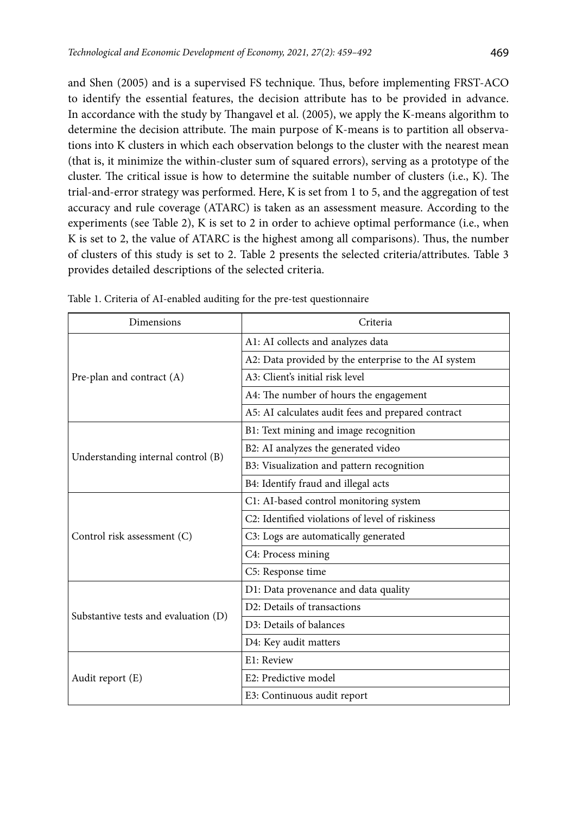and Shen (2005) and is a supervised FS technique. Thus, before implementing FRST-ACO to identify the essential features, the decision attribute has to be provided in advance. In accordance with the study by Thangavel et al. (2005), we apply the K-means algorithm to determine the decision attribute. The main purpose of K-means is to partition all observations into K clusters in which each observation belongs to the cluster with the nearest mean (that is, it minimize the within-cluster sum of squared errors), serving as a prototype of the cluster. The critical issue is how to determine the suitable number of clusters (i.e., K). The trial-and-error strategy was performed. Here, K is set from 1 to 5, and the aggregation of test accuracy and rule coverage (ATARC) is taken as an assessment measure. According to the experiments (see Table 2), K is set to 2 in order to achieve optimal performance (i.e., when K is set to 2, the value of ATARC is the highest among all comparisons). Thus, the number of clusters of this study is set to 2. Table 2 presents the selected criteria/attributes. Table 3 provides detailed descriptions of the selected criteria.

| Dimensions                           | Criteria                                                     |  |  |  |  |
|--------------------------------------|--------------------------------------------------------------|--|--|--|--|
|                                      | A1: AI collects and analyzes data                            |  |  |  |  |
|                                      | A2: Data provided by the enterprise to the AI system         |  |  |  |  |
| Pre-plan and contract (A)            | A3: Client's initial risk level                              |  |  |  |  |
|                                      | A4: The number of hours the engagement                       |  |  |  |  |
|                                      | A5: AI calculates audit fees and prepared contract           |  |  |  |  |
|                                      | B1: Text mining and image recognition                        |  |  |  |  |
| Understanding internal control (B)   | B2: AI analyzes the generated video                          |  |  |  |  |
|                                      | B3: Visualization and pattern recognition                    |  |  |  |  |
|                                      | B4: Identify fraud and illegal acts                          |  |  |  |  |
|                                      | C1: AI-based control monitoring system                       |  |  |  |  |
|                                      | C <sub>2</sub> : Identified violations of level of riskiness |  |  |  |  |
| Control risk assessment (C)          | C3: Logs are automatically generated                         |  |  |  |  |
|                                      | C4: Process mining                                           |  |  |  |  |
|                                      | C5: Response time                                            |  |  |  |  |
|                                      | D1: Data provenance and data quality                         |  |  |  |  |
|                                      | D2: Details of transactions                                  |  |  |  |  |
| Substantive tests and evaluation (D) | D <sub>3</sub> : Details of balances                         |  |  |  |  |
|                                      | D4: Key audit matters                                        |  |  |  |  |
|                                      | E1: Review                                                   |  |  |  |  |
| Audit report (E)                     | E2: Predictive model                                         |  |  |  |  |
|                                      | E3: Continuous audit report                                  |  |  |  |  |

Table 1. Criteria of AI-enabled auditing for the pre-test questionnaire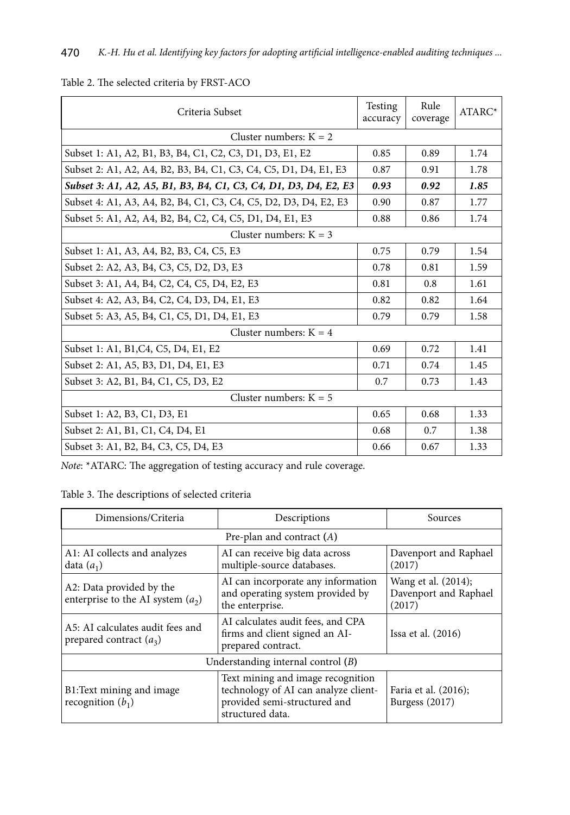| Criteria Subset                                                  | Testing<br>accuracy | Rule<br>coverage | ATARC* |  |  |  |  |  |
|------------------------------------------------------------------|---------------------|------------------|--------|--|--|--|--|--|
| Cluster numbers: $K = 2$                                         |                     |                  |        |  |  |  |  |  |
| Subset 1: A1, A2, B1, B3, B4, C1, C2, C3, D1, D3, E1, E2         | 0.85                | 0.89             | 1.74   |  |  |  |  |  |
| Subset 2: A1, A2, A4, B2, B3, B4, C1, C3, C4, C5, D1, D4, E1, E3 | 0.87                | 0.91             | 1.78   |  |  |  |  |  |
| Subset 3: A1, A2, A5, B1, B3, B4, C1, C3, C4, D1, D3, D4, E2, E3 | 0.93                | 0.92             | 1.85   |  |  |  |  |  |
| Subset 4: A1, A3, A4, B2, B4, C1, C3, C4, C5, D2, D3, D4, E2, E3 | 0.90                | 0.87             | 1.77   |  |  |  |  |  |
| Subset 5: A1, A2, A4, B2, B4, C2, C4, C5, D1, D4, E1, E3         | 0.88                | 0.86             | 1.74   |  |  |  |  |  |
| Cluster numbers: $K = 3$                                         |                     |                  |        |  |  |  |  |  |
| Subset 1: A1, A3, A4, B2, B3, C4, C5, E3                         | 0.75                | 0.79             | 1.54   |  |  |  |  |  |
| Subset 2: A2, A3, B4, C3, C5, D2, D3, E3                         | 0.78                | 0.81             | 1.59   |  |  |  |  |  |
| Subset 3: A1, A4, B4, C2, C4, C5, D4, E2, E3                     | 0.81                | 0.8              | 1.61   |  |  |  |  |  |
| Subset 4: A2, A3, B4, C2, C4, D3, D4, E1, E3                     | 0.82                | 0.82             | 1.64   |  |  |  |  |  |
| Subset 5: A3, A5, B4, C1, C5, D1, D4, E1, E3                     | 0.79                | 0.79             | 1.58   |  |  |  |  |  |
| Cluster numbers: $K = 4$                                         |                     |                  |        |  |  |  |  |  |
| Subset 1: A1, B1, C4, C5, D4, E1, E2                             | 0.69                | 0.72             | 1.41   |  |  |  |  |  |
| Subset 2: A1, A5, B3, D1, D4, E1, E3                             | 0.71                | 0.74             | 1.45   |  |  |  |  |  |
| Subset 3: A2, B1, B4, C1, C5, D3, E2                             | 0.7                 | 0.73             | 1.43   |  |  |  |  |  |
| Cluster numbers: $K = 5$                                         |                     |                  |        |  |  |  |  |  |
| Subset 1: A2, B3, C1, D3, E1                                     | 0.65                | 0.68             | 1.33   |  |  |  |  |  |
| Subset 2: A1, B1, C1, C4, D4, E1                                 | 0.68                | 0.7              | 1.38   |  |  |  |  |  |
| Subset 3: A1, B2, B4, C3, C5, D4, E3                             | 0.66                | 0.67             | 1.33   |  |  |  |  |  |

# Table 2. The selected criteria by FRST-ACO

*Note*: \*ATARC: The aggregation of testing accuracy and rule coverage.

Table 3. The descriptions of selected criteria

| Dimensions/Criteria                                             | Descriptions                                                                                                                  | Sources                                                |  |  |  |  |  |  |  |
|-----------------------------------------------------------------|-------------------------------------------------------------------------------------------------------------------------------|--------------------------------------------------------|--|--|--|--|--|--|--|
|                                                                 | Pre-plan and contract $(A)$                                                                                                   |                                                        |  |  |  |  |  |  |  |
| A1: AI collects and analyzes<br>data $(a_1)$                    | AI can receive big data across<br>multiple-source databases.                                                                  | Davenport and Raphael<br>(2017)                        |  |  |  |  |  |  |  |
| A2: Data provided by the<br>enterprise to the AI system $(a_2)$ | AI can incorporate any information<br>and operating system provided by<br>the enterprise.                                     | Wang et al. (2014);<br>Davenport and Raphael<br>(2017) |  |  |  |  |  |  |  |
| A5: AI calculates audit fees and<br>prepared contract $(a_3)$   | AI calculates audit fees, and CPA<br>firms and client signed an AI-<br>prepared contract.                                     | Issa et al. (2016)                                     |  |  |  |  |  |  |  |
|                                                                 | Understanding internal control (B)                                                                                            |                                                        |  |  |  |  |  |  |  |
| B1: Text mining and image<br>recognition $(b_1)$                | Text mining and image recognition<br>technology of AI can analyze client-<br>provided semi-structured and<br>structured data. | Faria et al. (2016);<br>Burgess (2017)                 |  |  |  |  |  |  |  |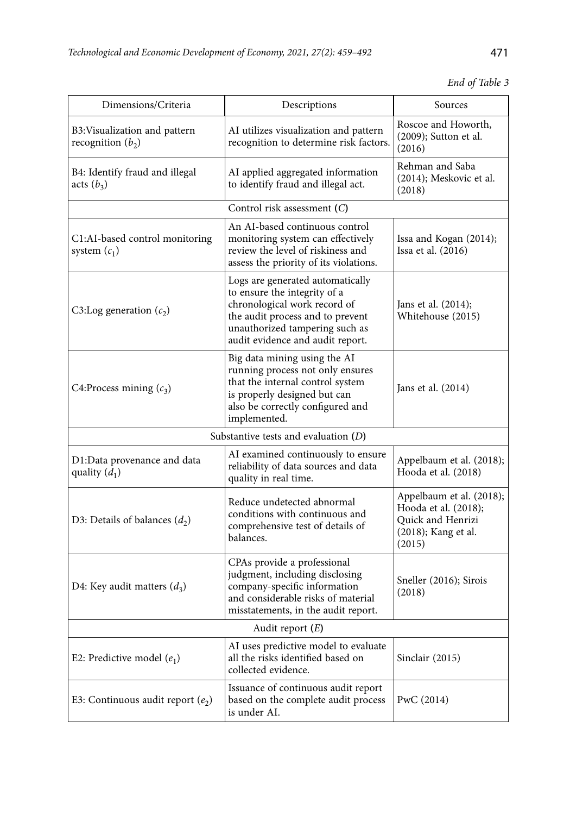|  |  | End of Table 3 |  |
|--|--|----------------|--|
|--|--|----------------|--|

| Dimensions/Criteria                                  | Descriptions                                                                                                                                                                                               | Sources                                                                                                       |  |  |  |  |  |  |  |
|------------------------------------------------------|------------------------------------------------------------------------------------------------------------------------------------------------------------------------------------------------------------|---------------------------------------------------------------------------------------------------------------|--|--|--|--|--|--|--|
| B3: Visualization and pattern<br>recognition $(b_2)$ | AI utilizes visualization and pattern<br>recognition to determine risk factors.                                                                                                                            | Roscoe and Howorth,<br>(2009); Sutton et al.<br>(2016)                                                        |  |  |  |  |  |  |  |
| B4: Identify fraud and illegal<br>acts $(b_3)$       | AI applied aggregated information<br>to identify fraud and illegal act.                                                                                                                                    | Rehman and Saba<br>(2014); Meskovic et al.<br>(2018)                                                          |  |  |  |  |  |  |  |
|                                                      | Control risk assessment (C)                                                                                                                                                                                |                                                                                                               |  |  |  |  |  |  |  |
| C1:AI-based control monitoring<br>system $(c_1)$     | An AI-based continuous control<br>monitoring system can effectively<br>review the level of riskiness and<br>assess the priority of its violations.                                                         | Issa and Kogan (2014);<br>Issa et al. (2016)                                                                  |  |  |  |  |  |  |  |
| C3:Log generation $(c_2)$                            | Logs are generated automatically<br>to ensure the integrity of a<br>chronological work record of<br>the audit process and to prevent<br>unauthorized tampering such as<br>audit evidence and audit report. | Jans et al. (2014);<br>Whitehouse (2015)                                                                      |  |  |  |  |  |  |  |
| C4:Process mining $(c_3)$                            | Big data mining using the AI<br>running process not only ensures<br>that the internal control system<br>is properly designed but can<br>also be correctly configured and<br>implemented.                   | Jans et al. (2014)                                                                                            |  |  |  |  |  |  |  |
|                                                      | Substantive tests and evaluation $(D)$                                                                                                                                                                     |                                                                                                               |  |  |  |  |  |  |  |
| D1:Data provenance and data<br>quality $(\bar{d}_1)$ | AI examined continuously to ensure<br>reliability of data sources and data<br>quality in real time.                                                                                                        | Appelbaum et al. (2018);<br>Hooda et al. (2018)                                                               |  |  |  |  |  |  |  |
| D3: Details of balances $(d_2)$                      | Reduce undetected abnormal<br>conditions with continuous and<br>comprehensive test of details of<br>balances.                                                                                              | Appelbaum et al. (2018);<br>Hooda et al. (2018);<br><b>Ouick and Henrizi</b><br>(2018); Kang et al.<br>(2015) |  |  |  |  |  |  |  |
| D4: Key audit matters $(d_3)$                        | CPAs provide a professional<br>judgment, including disclosing<br>company-specific information<br>and considerable risks of material<br>misstatements, in the audit report.                                 | Sneller (2016); Sirois<br>(2018)                                                                              |  |  |  |  |  |  |  |
| Audit report $(E)$                                   |                                                                                                                                                                                                            |                                                                                                               |  |  |  |  |  |  |  |
| E2: Predictive model $(e_1)$                         | AI uses predictive model to evaluate<br>all the risks identified based on<br>collected evidence.                                                                                                           | Sinclair (2015)                                                                                               |  |  |  |  |  |  |  |
| E3: Continuous audit report $(e_2)$                  | Issuance of continuous audit report<br>based on the complete audit process<br>is under AI.                                                                                                                 | PwC (2014)                                                                                                    |  |  |  |  |  |  |  |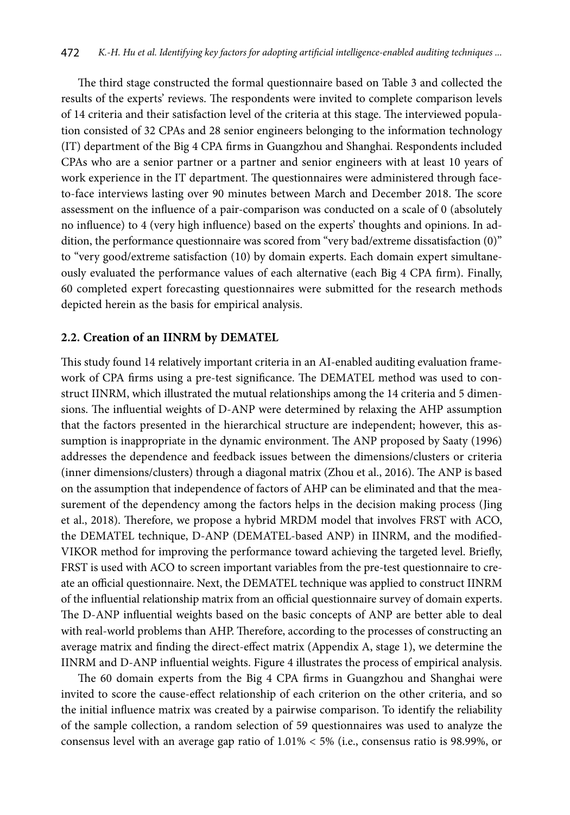The third stage constructed the formal questionnaire based on Table 3 and collected the results of the experts' reviews. The respondents were invited to complete comparison levels of 14 criteria and their satisfaction level of the criteria at this stage. The interviewed population consisted of 32 CPAs and 28 senior engineers belonging to the information technology (IT) department of the Big 4 CPA firms in Guangzhou and Shanghai. Respondents included CPAs who are a senior partner or a partner and senior engineers with at least 10 years of work experience in the IT department. The questionnaires were administered through faceto-face interviews lasting over 90 minutes between March and December 2018. The score assessment on the influence of a pair-comparison was conducted on a scale of 0 (absolutely no influence) to 4 (very high influence) based on the experts' thoughts and opinions. In addition, the performance questionnaire was scored from "very bad/extreme dissatisfaction (0)" to "very good/extreme satisfaction (10) by domain experts. Each domain expert simultaneously evaluated the performance values of each alternative (each Big 4 CPA firm). Finally, 60 completed expert forecasting questionnaires were submitted for the research methods depicted herein as the basis for empirical analysis.

## **2.2. Creation of an IINRM by DEMATEL**

This study found 14 relatively important criteria in an AI-enabled auditing evaluation framework of CPA firms using a pre-test significance. The DEMATEL method was used to construct IINRM, which illustrated the mutual relationships among the 14 criteria and 5 dimensions. The influential weights of D-ANP were determined by relaxing the AHP assumption that the factors presented in the hierarchical structure are independent; however, this assumption is inappropriate in the dynamic environment. The ANP proposed by Saaty (1996) addresses the dependence and feedback issues between the dimensions/clusters or criteria (inner dimensions/clusters) through a diagonal matrix (Zhou et al., 2016). The ANP is based on the assumption that independence of factors of AHP can be eliminated and that the measurement of the dependency among the factors helps in the decision making process (Jing et al., 2018). Therefore, we propose a hybrid MRDM model that involves FRST with ACO, the DEMATEL technique, D-ANP (DEMATEL-based ANP) in IINRM, and the modified-VIKOR method for improving the performance toward achieving the targeted level. Briefly, FRST is used with ACO to screen important variables from the pre-test questionnaire to create an official questionnaire. Next, the DEMATEL technique was applied to construct IINRM of the influential relationship matrix from an official questionnaire survey of domain experts. The D-ANP influential weights based on the basic concepts of ANP are better able to deal with real-world problems than AHP. Therefore, according to the processes of constructing an average matrix and finding the direct-effect matrix (Appendix A, stage 1), we determine the IINRM and D-ANP influential weights. Figure 4 illustrates the process of empirical analysis.

The 60 domain experts from the Big 4 CPA firms in Guangzhou and Shanghai were invited to score the cause-effect relationship of each criterion on the other criteria, and so the initial influence matrix was created by a pairwise comparison. To identify the reliability of the sample collection, a random selection of 59 questionnaires was used to analyze the consensus level with an average gap ratio of 1.01% < 5% (i.e., consensus ratio is 98.99%, or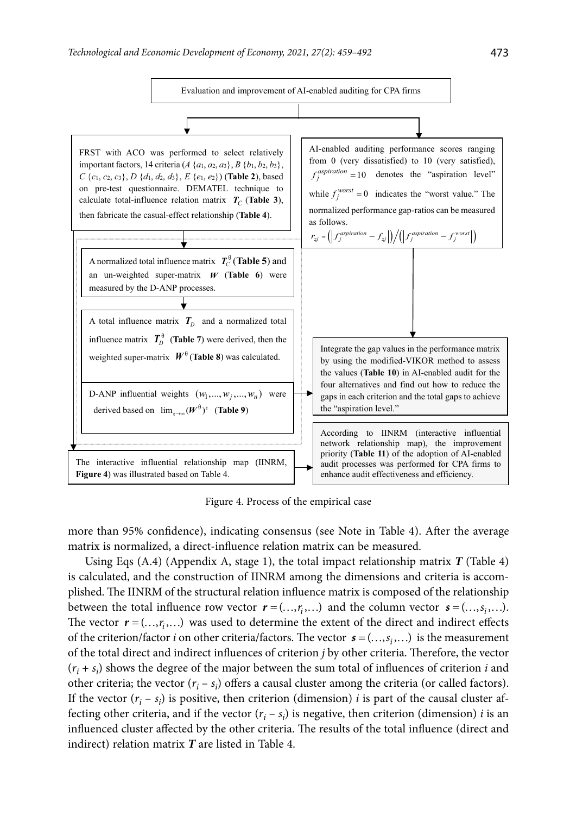

Figure 4. Process of the empirical case

more than 95% confidence), indicating consensus (see Note in Table 4). After the average matrix is normalized, a direct-influence relation matrix can be measured.

Using Eqs (A.4) (Appendix A, stage 1), the total impact relationship matrix *T* (Table 4) is calculated, and the construction of IINRM among the dimensions and criteria is accomplished. The IINRM of the structural relation influence matrix is composed of the relationship between the total influence row vector  $\mathbf{r} = (..., r, ...)$  and the column vector  $\mathbf{s} = (..., s, ...)$ . The vector  $r = (..., r_i, ...)$  was used to determine the extent of the direct and indirect effects of the criterion/factor *i* on other criteria/factors. The vector  $s = (..., s_i,...)$  is the measurement of the total direct and indirect influences of criterion *j* by other criteria. Therefore, the vector  $(r<sub>i</sub> + s<sub>i</sub>)$  shows the degree of the major between the sum total of influences of criterion *i* and other criteria; the vector  $(r_i - s_i)$  offers a causal cluster among the criteria (or called factors). If the vector  $(r_i - s_i)$  is positive, then criterion (dimension) *i* is part of the causal cluster affecting other criteria, and if the vector  $(r_i - s_i)$  is negative, then criterion (dimension) *i* is an influenced cluster affected by the other criteria. The results of the total influence (direct and indirect) relation matrix *T* are listed in Table 4.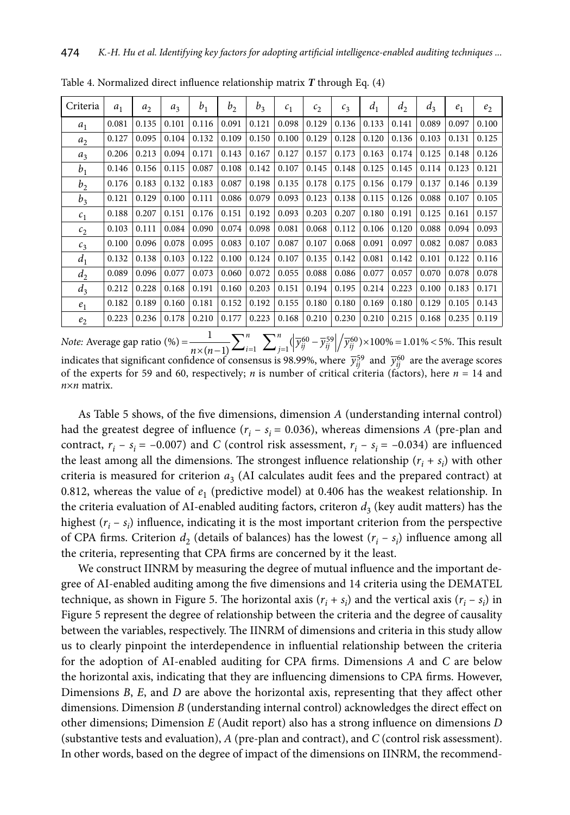| Criteria       | $a_1$ | a <sub>2</sub> | $a_3$ | b <sub>1</sub> | b <sub>2</sub> | $b_3$ | c <sub>1</sub> | $c_2$ | $c_3$ | $d_1$ | d <sub>2</sub> | $d_3$ | $e_1$ | e <sub>2</sub> |
|----------------|-------|----------------|-------|----------------|----------------|-------|----------------|-------|-------|-------|----------------|-------|-------|----------------|
| a <sub>1</sub> | 0.081 | 0.135          | 0.101 | 0.116          | 0.091          | 0.121 | 0.098          | 0.129 | 0.136 | 0.133 | 0.141          | 0.089 | 0.097 | 0.100          |
| a <sub>2</sub> | 0.127 | 0.095          | 0.104 | 0.132          | 0.109          | 0.150 | 0.100          | 0.129 | 0.128 | 0.120 | 0.136          | 0.103 | 0.131 | 0.125          |
| $a_3$          | 0.206 | 0.213          | 0.094 | 0.171          | 0.143          | 0.167 | 0.127          | 0.157 | 0.173 | 0.163 | 0.174          | 0.125 | 0.148 | 0.126          |
| b <sub>1</sub> | 0.146 | 0.156          | 0.115 | 0.087          | 0.108          | 0.142 | 0.107          | 0.145 | 0.148 | 0.125 | 0.145          | 0.114 | 0.123 | 0.121          |
| b <sub>2</sub> | 0.176 | 0.183          | 0.132 | 0.183          | 0.087          | 0.198 | 0.135          | 0.178 | 0.175 | 0.156 | 0.179          | 0.137 | 0.146 | 0.139          |
| $b_3$          | 0.121 | 0.129          | 0.100 | 0.111          | 0.086          | 0.079 | 0.093          | 0.123 | 0.138 | 0.115 | 0.126          | 0.088 | 0.107 | 0.105          |
| c <sub>1</sub> | 0.188 | 0.207          | 0.151 | 0.176          | 0.151          | 0.192 | 0.093          | 0.203 | 0.207 | 0.180 | 0.191          | 0.125 | 0.161 | 0.157          |
| c <sub>2</sub> | 0.103 | 0.111          | 0.084 | 0.090          | 0.074          | 0.098 | 0.081          | 0.068 | 0.112 | 0.106 | 0.120          | 0.088 | 0.094 | 0.093          |
| c <sub>3</sub> | 0.100 | 0.096          | 0.078 | 0.095          | 0.083          | 0.107 | 0.087          | 0.107 | 0.068 | 0.091 | 0.097          | 0.082 | 0.087 | 0.083          |
| $d_1$          | 0.132 | 0.138          | 0.103 | 0.122          | 0.100          | 0.124 | 0.107          | 0.135 | 0.142 | 0.081 | 0.142          | 0.101 | 0.122 | 0.116          |
| d <sub>2</sub> | 0.089 | 0.096          | 0.077 | 0.073          | 0.060          | 0.072 | 0.055          | 0.088 | 0.086 | 0.077 | 0.057          | 0.070 | 0.078 | 0.078          |
| $d_3$          | 0.212 | 0.228          | 0.168 | 0.191          | 0.160          | 0.203 | 0.151          | 0.194 | 0.195 | 0.214 | 0.223          | 0.100 | 0.183 | 0.171          |
| e <sub>1</sub> | 0.182 | 0.189          | 0.160 | 0.181          | 0.152          | 0.192 | 0.155          | 0.180 | 0.180 | 0.169 | 0.180          | 0.129 | 0.105 | 0.143          |
| e <sub>2</sub> | 0.223 | 0.236          | 0.178 | 0.210          | 0.177          | 0.223 | 0.168          | 0.210 | 0.230 | 0.210 | 0.215          | 0.168 | 0.235 | 0.119          |

Table 4. Normalized direct influence relationship matrix *T* through Eq. (4)

*Note:* Average gap ratio (%) =  $\frac{1}{n \times (n-1)} \sum_{i=1}^{n} \sum_{j=1}^{n} (\left| \overline{y}_{ij}^{60} - \overline{y}_{ij}^{59} \right| / \overline{y}_{ij}^{60}) \times 100\% = 1.01\% < 5\%.$  This result indicates that significant confidence of consensus is 98.99%, where  $\bar{y}_{ij}^{59}$  and  $\bar{y}_{ij}^{60}$  are the average scores of the experts for 59 and 60, respectively; *n* is number of critical criteria (factors), here  $n = 14$  and *n*×*n* matrix.

As Table 5 shows, of the five dimensions, dimension *A* (understanding internal control) had the greatest degree of influence  $(r_i - s_i = 0.036)$ , whereas dimensions *A* (pre-plan and contract,  $r_i - s_i = -0.007$ ) and *C* (control risk assessment,  $r_i - s_i = -0.034$ ) are influenced the least among all the dimensions. The strongest influence relationship  $(r_i + s_i)$  with other criteria is measured for criterion  $a_3$  (AI calculates audit fees and the prepared contract) at 0.812, whereas the value of  $e_1$  (predictive model) at 0.406 has the weakest relationship. In the criteria evaluation of AI-enabled auditing factors, criteron  $d_3$  (key audit matters) has the highest  $(r_i - s_i)$  influence, indicating it is the most important criterion from the perspective of CPA firms. Criterion  $d_2$  (details of balances) has the lowest  $(r_i - s_i)$  influence among all the criteria, representing that CPA firms are concerned by it the least.

We construct IINRM by measuring the degree of mutual influence and the important degree of AI-enabled auditing among the five dimensions and 14 criteria using the DEMATEL technique, as shown in Figure 5. The horizontal axis  $(r_i + s_i)$  and the vertical axis  $(r_i - s_i)$  in Figure 5 represent the degree of relationship between the criteria and the degree of causality between the variables, respectively. The IINRM of dimensions and criteria in this study allow us to clearly pinpoint the interdependence in influential relationship between the criteria for the adoption of AI-enabled auditing for CPA firms. Dimensions *A* and *C* are below the horizontal axis, indicating that they are influencing dimensions to CPA firms. However, Dimensions *B*, *E*, and *D* are above the horizontal axis, representing that they affect other dimensions. Dimension *B* (understanding internal control) acknowledges the direct effect on other dimensions; Dimension *E* (Audit report) also has a strong influence on dimensions *D* (substantive tests and evaluation), *A* (pre-plan and contract), and *C* (control risk assessment). In other words, based on the degree of impact of the dimensions on IINRM, the recommend-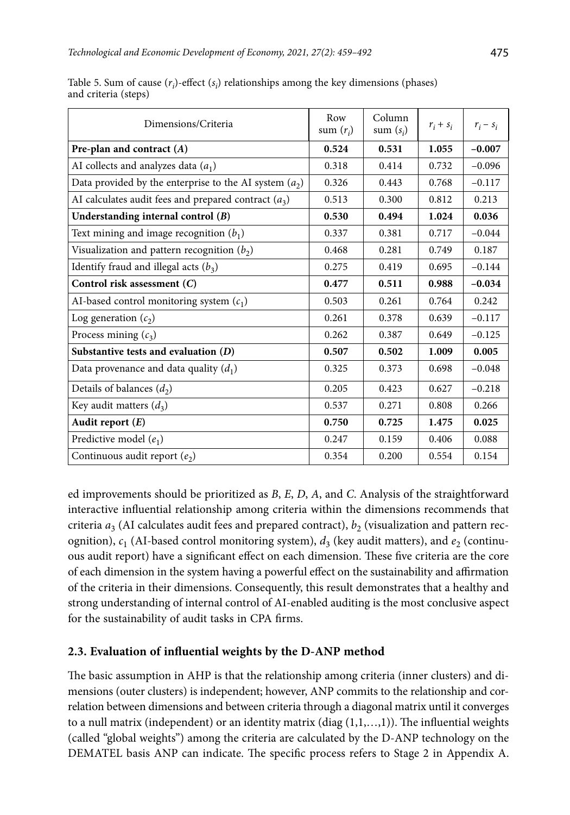| Dimensions/Criteria                                      | Row<br>sum $(r_i)$ | Column<br>sum $(s_i)$ | $r_i + s_i$ | $r_i - s_i$ |
|----------------------------------------------------------|--------------------|-----------------------|-------------|-------------|
| Pre-plan and contract $(A)$                              | 0.524              | 0.531                 | 1.055       | $-0.007$    |
| AI collects and analyzes data $(a_1)$                    | 0.318              | 0.414                 | 0.732       | $-0.096$    |
| Data provided by the enterprise to the AI system $(a_2)$ | 0.326              | 0.443                 | 0.768       | $-0.117$    |
| AI calculates audit fees and prepared contract $(a_3)$   | 0.513              | 0.300                 | 0.812       | 0.213       |
| Understanding internal control (B)                       | 0.530              | 0.494                 | 1.024       | 0.036       |
| Text mining and image recognition $(b_1)$                | 0.337              | 0.381                 | 0.717       | $-0.044$    |
| Visualization and pattern recognition $(b_2)$            | 0.468              | 0.281                 | 0.749       | 0.187       |
| Identify fraud and illegal acts $(b_3)$                  | 0.275              | 0.419                 | 0.695       | $-0.144$    |
| Control risk assessment (C)                              | 0.477              | 0.511                 | 0.988       | $-0.034$    |
| AI-based control monitoring system $(c_1)$               | 0.503              | 0.261                 | 0.764       | 0.242       |
| Log generation $(c_2)$                                   | 0.261              | 0.378                 | 0.639       | $-0.117$    |
| Process mining $(c_3)$                                   | 0.262              | 0.387                 | 0.649       | $-0.125$    |
| Substantive tests and evaluation $(D)$                   | 0.507              | 0.502                 | 1.009       | 0.005       |
| Data provenance and data quality $(d_1)$                 | 0.325              | 0.373                 | 0.698       | $-0.048$    |
| Details of balances $(d_2)$                              | 0.205              | 0.423                 | 0.627       | $-0.218$    |
| Key audit matters $(d_3)$                                | 0.537              | 0.271                 | 0.808       | 0.266       |
| Audit report $(E)$                                       | 0.750              | 0.725                 | 1.475       | 0.025       |
| Predictive model $(e_1)$                                 | 0.247              | 0.159                 | 0.406       | 0.088       |
| Continuous audit report $(e_2)$                          | 0.354              | 0.200                 | 0.554       | 0.154       |

Table 5. Sum of cause  $(r_i)$ -effect  $(s_i)$  relationships among the key dimensions (phases) and criteria (steps)

ed improvements should be prioritized as *B*, *E*, *D*, *A*, and *C*. Analysis of the straightforward interactive influential relationship among criteria within the dimensions recommends that criteria  $a_3$  (AI calculates audit fees and prepared contract),  $b_2$  (visualization and pattern recognition),  $c_1$  (AI-based control monitoring system),  $d_3$  (key audit matters), and  $e_2$  (continuous audit report) have a significant effect on each dimension. These five criteria are the core of each dimension in the system having a powerful effect on the sustainability and affirmation of the criteria in their dimensions. Consequently, this result demonstrates that a healthy and strong understanding of internal control of AI-enabled auditing is the most conclusive aspect for the sustainability of audit tasks in CPA firms.

# **2.3. Evaluation of influential weights by the D-ANP method**

The basic assumption in AHP is that the relationship among criteria (inner clusters) and dimensions (outer clusters) is independent; however, ANP commits to the relationship and correlation between dimensions and between criteria through a diagonal matrix until it converges to a null matrix (independent) or an identity matrix (diag (1,1,…,1)). The influential weights (called "global weights") among the criteria are calculated by the D-ANP technology on the DEMATEL basis ANP can indicate. The specific process refers to Stage 2 in Appendix A.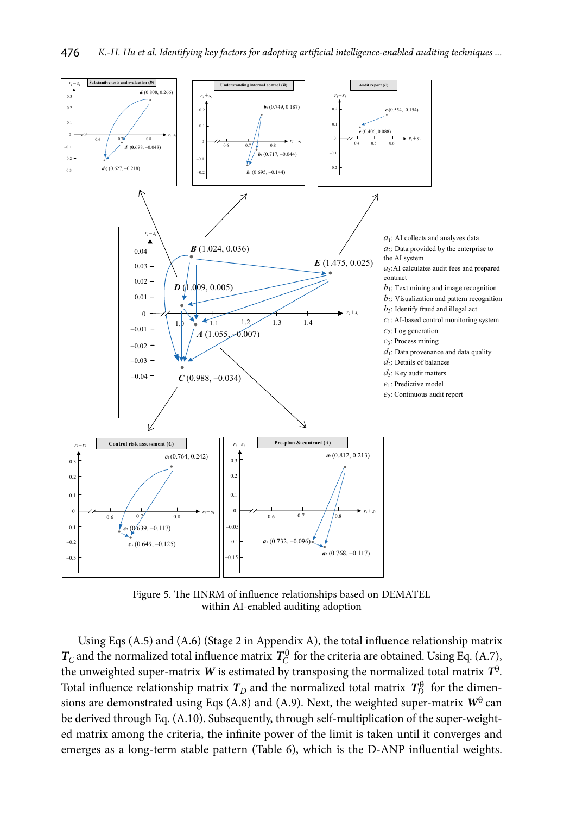

Figure 5. The IINRM of influence relationships based on DEMATEL within AI-enabled auditing adoption

Using Eqs (A.5) and (A.6) (Stage 2 in Appendix A), the total influence relationship matrix  $T_C$  and the normalized total influence matrix  $T_C^{\theta}$  for the criteria are obtained. Using Eq. (A.7), the unweighted super-matrix *W* is estimated by transposing the normalized total matrix  $T^0$ . Total influence relationship matrix  $T_D$  and the normalized total matrix  $T_D^{\theta}$  for the dimensions are demonstrated using Eqs (A.8) and (A.9). Next, the weighted super-matrix  $W^{\theta}$  can be derived through Eq. (A.10). Subsequently, through self-multiplication of the super-weighted matrix among the criteria, the infinite power of the limit is taken until it converges and emerges as a long-term stable pattern (Table 6), which is the D-ANP influential weights.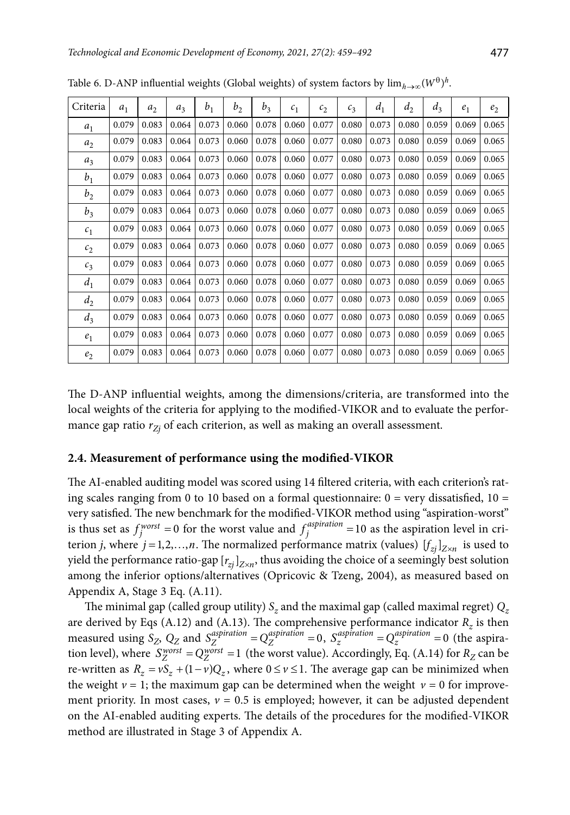| Criteria       | a <sub>1</sub> | a <sub>2</sub> | $a_3$ | b <sub>1</sub> | b <sub>2</sub> | $b_3$ | c <sub>1</sub> | c <sub>2</sub> | c <sub>3</sub> | $d_1$ | d <sub>2</sub> | $d_3$ | e <sub>1</sub> | e <sub>2</sub> |
|----------------|----------------|----------------|-------|----------------|----------------|-------|----------------|----------------|----------------|-------|----------------|-------|----------------|----------------|
| $a_1$          | 0.079          | 0.083          | 0.064 | 0.073          | 0.060          | 0.078 | 0.060          | 0.077          | 0.080          | 0.073 | 0.080          | 0.059 | 0.069          | 0.065          |
| a <sub>2</sub> | 0.079          | 0.083          | 0.064 | 0.073          | 0.060          | 0.078 | 0.060          | 0.077          | 0.080          | 0.073 | 0.080          | 0.059 | 0.069          | 0.065          |
| $a_3$          | 0.079          | 0.083          | 0.064 | 0.073          | 0.060          | 0.078 | 0.060          | 0.077          | 0.080          | 0.073 | 0.080          | 0.059 | 0.069          | 0.065          |
| b <sub>1</sub> | 0.079          | 0.083          | 0.064 | 0.073          | 0.060          | 0.078 | 0.060          | 0.077          | 0.080          | 0.073 | 0.080          | 0.059 | 0.069          | 0.065          |
| b <sub>2</sub> | 0.079          | 0.083          | 0.064 | 0.073          | 0.060          | 0.078 | 0.060          | 0.077          | 0.080          | 0.073 | 0.080          | 0.059 | 0.069          | 0.065          |
| $b_3$          | 0.079          | 0.083          | 0.064 | 0.073          | 0.060          | 0.078 | 0.060          | 0.077          | 0.080          | 0.073 | 0.080          | 0.059 | 0.069          | 0.065          |
| c <sub>1</sub> | 0.079          | 0.083          | 0.064 | 0.073          | 0.060          | 0.078 | 0.060          | 0.077          | 0.080          | 0.073 | 0.080          | 0.059 | 0.069          | 0.065          |
| c <sub>2</sub> | 0.079          | 0.083          | 0.064 | 0.073          | 0.060          | 0.078 | 0.060          | 0.077          | 0.080          | 0.073 | 0.080          | 0.059 | 0.069          | 0.065          |
| $c_3$          | 0.079          | 0.083          | 0.064 | 0.073          | 0.060          | 0.078 | 0.060          | 0.077          | 0.080          | 0.073 | 0.080          | 0.059 | 0.069          | 0.065          |
| $d_1$          | 0.079          | 0.083          | 0.064 | 0.073          | 0.060          | 0.078 | 0.060          | 0.077          | 0.080          | 0.073 | 0.080          | 0.059 | 0.069          | 0.065          |
| $d_2$          | 0.079          | 0.083          | 0.064 | 0.073          | 0.060          | 0.078 | 0.060          | 0.077          | 0.080          | 0.073 | 0.080          | 0.059 | 0.069          | 0.065          |
| $d_3$          | 0.079          | 0.083          | 0.064 | 0.073          | 0.060          | 0.078 | 0.060          | 0.077          | 0.080          | 0.073 | 0.080          | 0.059 | 0.069          | 0.065          |
| $e_1$          | 0.079          | 0.083          | 0.064 | 0.073          | 0.060          | 0.078 | 0.060          | 0.077          | 0.080          | 0.073 | 0.080          | 0.059 | 0.069          | 0.065          |
| e <sub>2</sub> | 0.079          | 0.083          | 0.064 | 0.073          | 0.060          | 0.078 | 0.060          | 0.077          | 0.080          | 0.073 | 0.080          | 0.059 | 0.069          | 0.065          |

Table 6. D-ANP influential weights (Global weights) of system factors by  $\lim_{h\to\infty} (W^{\theta})^h$ .

The D-ANP influential weights, among the dimensions/criteria, are transformed into the local weights of the criteria for applying to the modified-VIKOR and to evaluate the performance gap ratio  $r_{Z_i}$  of each criterion, as well as making an overall assessment.

#### **2.4. Measurement of performance using the modified-VIKOR**

The AI-enabled auditing model was scored using 14 filtered criteria, with each criterion's rating scales ranging from 0 to 10 based on a formal questionnaire:  $0 = \text{very dissatisfied}$ ,  $10 =$ very satisfied. The new benchmark for the modified-VIKOR method using "aspiration-worst" is thus set as  $f_j^{worst} = 0$  for the worst value and  $f_j^{aspiration} = 10$  as the aspiration level in criterion *j*, where  $j = 1, 2, ..., n$ . The normalized performance matrix (values)  $[f_{zi}]_{Z \times n}$  is used to yield the performance ratio-gap  $[r_{zi}]_{Z \times n}$ , thus avoiding the choice of a seemingly best solution among the inferior options/alternatives (Opricovic & Tzeng, 2004), as measured based on Appendix A, Stage 3 Eq. (A.11).

The minimal gap (called group utility)  $S_z$  and the maximal gap (called maximal regret)  $Q_z$ are derived by Eqs  $(A.12)$  and  $(A.13)$ . The comprehensive performance indicator  $R<sub>z</sub>$  is then measured using  $S_Z$ ,  $Q_Z$  and  $S_Z^{aspiration} = Q_Z^{aspiration} = 0$ ,  $S_Z^{aspiration} = Q_Z^{aspiration} = 0$  (the aspiration level), where  $S_Z^{worst} = Q_Z^{worst} = 1$  (the worst value). Accordingly, Eq. (A.14) for  $R_Z$  can be re-written as  $R_z = vS_z + (1 - v)Q_z$ , where  $0 \le v \le 1$ . The average gap can be minimized when the weight  $\nu = 1$ ; the maximum gap can be determined when the weight  $\nu = 0$  for improvement priority. In most cases,  $v = 0.5$  is employed; however, it can be adjusted dependent on the AI-enabled auditing experts. The details of the procedures for the modified-VIKOR method are illustrated in Stage 3 of Appendix A.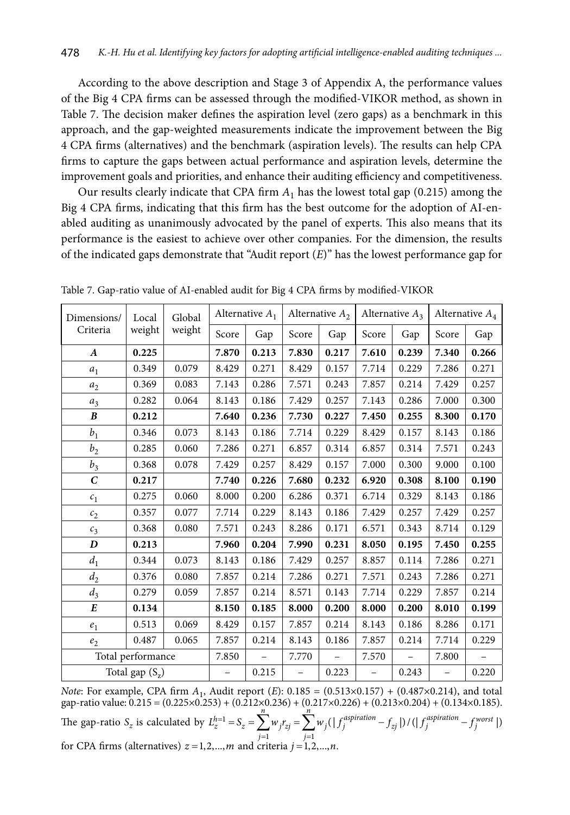According to the above description and Stage 3 of Appendix A, the performance values of the Big 4 CPA firms can be assessed through the modified-VIKOR method, as shown in Table 7. The decision maker defines the aspiration level (zero gaps) as a benchmark in this approach, and the gap-weighted measurements indicate the improvement between the Big 4 CPA firms (alternatives) and the benchmark (aspiration levels). The results can help CPA firms to capture the gaps between actual performance and aspiration levels, determine the improvement goals and priorities, and enhance their auditing efficiency and competitiveness.

Our results clearly indicate that CPA firm  $A_1$  has the lowest total gap (0.215) among the Big 4 CPA firms, indicating that this firm has the best outcome for the adoption of AI-enabled auditing as unanimously advocated by the panel of experts. This also means that its performance is the easiest to achieve over other companies. For the dimension, the results of the indicated gaps demonstrate that "Audit report (*E*)" has the lowest performance gap for

| Dimensions/      | Local             | Global |                   | Alternative $A_1$ |                          | Alternative $A_2$ |                          | Alternative $A_3$        |                   | Alternative $A_4$ |  |
|------------------|-------------------|--------|-------------------|-------------------|--------------------------|-------------------|--------------------------|--------------------------|-------------------|-------------------|--|
| Criteria         | weight            | weight | Score             | Gap               | Score                    | Gap               | Score                    | Gap                      | Score             | Gap               |  |
| $\boldsymbol{A}$ | 0.225             |        | 7.870             | 0.213             | 7.830                    | 0.217             | 7.610                    | 0.239                    | 7.340             | 0.266             |  |
| $a_1$            | 0.349             | 0.079  | 8.429             | 0.271             | 8.429                    | 0.157             | 7.714                    | 0.229                    | 7.286             | 0.271             |  |
| a <sub>2</sub>   | 0.369             | 0.083  | 7.143             | 0.286             | 7.571                    | 0.243             | 7.857                    | 0.214                    | 7.429             | 0.257             |  |
| $a_3$            | 0.282             | 0.064  | 8.143             | 0.186             | 7.429                    | 0.257             | 7.143                    | 0.286                    | 7.000             | 0.300             |  |
| $\boldsymbol{B}$ | 0.212             |        | 7.640             | 0.236             | 7.730                    | 0.227             | 7.450                    | 0.255                    | 8.300             | 0.170             |  |
| b <sub>1</sub>   | 0.346             | 0.073  | 8.143             | 0.186             | 7.714                    | 0.229             | 8.429                    | 0.157                    | 8.143             | 0.186             |  |
| b <sub>2</sub>   | 0.285             | 0.060  | 7.286             | 0.271             | 6.857                    | 0.314             | 6.857                    | 0.314                    | 7.571             | 0.243             |  |
| $b_3$            | 0.368             | 0.078  | 7.429             | 0.257             | 8.429                    | $0.157\,$         | 7.000                    | 0.300                    | 9.000             | 0.100             |  |
| $\mathcal{C}$    | 0.217             |        | 7.740             | 0.226             | 7.680                    | 0.232             | 6.920                    | 0.308                    | 8.100             | 0.190             |  |
| c <sub>1</sub>   | 0.275             | 0.060  | 8.000             | 0.200             | 6.286                    | 0.371             | 6.714                    | 0.329                    | 8.143             | 0.186             |  |
| c <sub>2</sub>   | 0.357             | 0.077  | 7.714             | 0.229             | 8.143                    | 0.186             | 7.429                    | 0.257                    | 7.429             | 0.257             |  |
| $c_3$            | 0.368             | 0.080  | 7.571             | 0.243             | 8.286                    | 0.171             | 6.571                    | 0.343                    | 8.714             | 0.129             |  |
| D                | 0.213             |        | 7.960             | 0.204             | 7.990                    | 0.231             | 8.050                    | 0.195                    | 7.450             | 0.255             |  |
| $d_1$            | 0.344             | 0.073  | 8.143             | 0.186             | 7.429                    | 0.257             | 8.857                    | 0.114                    | 7.286             | 0.271             |  |
| $d_2$            | 0.376             | 0.080  | 7.857             | 0.214             | 7.286                    | 0.271             | 7.571                    | 0.243                    | 7.286             | 0.271             |  |
| $d_3$            | 0.279             | 0.059  | 7.857             | 0.214             | 8.571                    | 0.143             | 7.714                    | 0.229                    | 7.857             | 0.214             |  |
| $\boldsymbol{E}$ | 0.134             |        | 8.150             | 0.185             | 8.000                    | 0.200             | 8.000                    | 0.200                    | 8.010             | 0.199             |  |
| e <sub>1</sub>   | 0.513             | 0.069  | 8.429             | 0.157             | 7.857                    | 0.214             | 8.143                    | 0.186                    | 8.286             | 0.171             |  |
| e <sub>2</sub>   | 0.487             | 0.065  | 7.857             | 0.214             | 8.143                    | 0.186             | 7.857                    | 0.214                    | 7.714             | 0.229             |  |
|                  | Total performance |        | 7.850             | $\qquad \qquad -$ | 7.770                    |                   | 7.570                    | $\overline{\phantom{0}}$ | 7.800             |                   |  |
|                  | Total gap $(S_z)$ |        | $\qquad \qquad -$ | 0.215             | $\overline{\phantom{0}}$ | 0.223             | $\overline{\phantom{0}}$ | 0.243                    | $\qquad \qquad -$ | 0.220             |  |

Table 7. Gap-ratio value of AI-enabled audit for Big 4 CPA firms by modified-VIKOR

*Note*: For example, CPA firm *A*1, Audit report (*E*): 0.185 = (0.513×0.157) + (0.487×0.214), and total gap-ratio value: 0.215 = (0.225×0.253) + (0.212×0.236) + (0.217×0.226) + (0.213×0.204) + (0.134×0.185). The gap-ratio  $S_z$  is calculated by  $L_z^{h=1}$  $-1$   $j=1$  $\left(\left|f_i^{aspration} - f_{zi}\right|\right) / \left(\left|f_i^{aspration} - f_i^{worst}\right|\right)$  $h_z^{h=1} = S_z = \sum^n w_j r_{zj} = \sum^n w_j (|f_j^{aspiration} - f_{zj}|) / (|f_j^{aspiration} - f_{j}^{worst})$ *j j*  $L_z^{h=1} = S_z = \sum w_i r_{zi} = \sum w_i (|f_i^{aspiration} - f_{zi}|) / (|f_i^{aspiration} - f_{zi}|)$  $= S_z = \sum_{j=1} w_j r_{zj} = \sum_{j=1} w_j (|f_j^{aspiration} - f_{zj}|) / (|f_j^{aspiration}$ for CPA firms (alternatives)  $z = 1, 2, ..., m$  and criteria  $j = 1, 2, ..., n$ .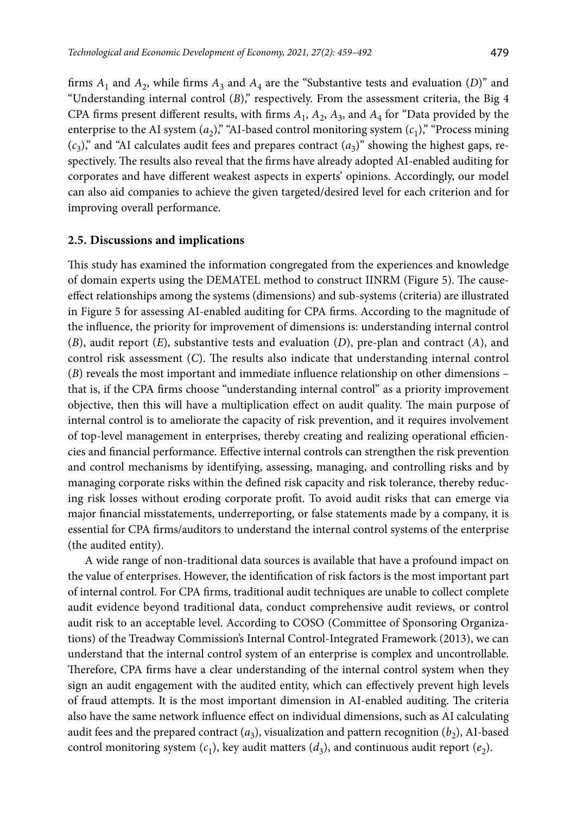firms  $A_1$  and  $A_2$ , while firms  $A_3$  and  $A_4$  are the "Substantive tests and evaluation (*D*)" and "Understanding internal control (*B*)," respectively. From the assessment criteria, the Big 4 CPA firms present different results, with firms  $A_1$ ,  $A_2$ ,  $A_3$ , and  $A_4$  for "Data provided by the enterprise to the AI system  $(a_2)$ ," "AI-based control monitoring system  $(c_1)$ ," "Process mining  $(c_3)$ ," and "AI calculates audit fees and prepares contract  $(a_3)$ " showing the highest gaps, respectively. The results also reveal that the firms have already adopted AI-enabled auditing for corporates and have different weakest aspects in experts' opinions. Accordingly, our model can also aid companies to achieve the given targeted/desired level for each criterion and for improving overall performance.

### **2.5. Discussions and implications**

This study has examined the information congregated from the experiences and knowledge of domain experts using the DEMATEL method to construct IINRM (Figure 5). The causeeffect relationships among the systems (dimensions) and sub-systems (criteria) are illustrated in Figure 5 for assessing AI-enabled auditing for CPA firms. According to the magnitude of the influence, the priority for improvement of dimensions is: understanding internal control (*B*), audit report (*E*), substantive tests and evaluation (*D*), pre-plan and contract (*A*), and control risk assessment (*C*). The results also indicate that understanding internal control (*B*) reveals the most important and immediate influence relationship on other dimensions – that is, if the CPA firms choose "understanding internal control" as a priority improvement objective, then this will have a multiplication effect on audit quality. The main purpose of internal control is to ameliorate the capacity of risk prevention, and it requires involvement of top-level management in enterprises, thereby creating and realizing operational efficiencies and financial performance. Effective internal controls can strengthen the risk prevention and control mechanisms by identifying, assessing, managing, and controlling risks and by managing corporate risks within the defined risk capacity and risk tolerance, thereby reducing risk losses without eroding corporate profit. To avoid audit risks that can emerge via major financial misstatements, underreporting, or false statements made by a company, it is essential for CPA firms/auditors to understand the internal control systems of the enterprise (the audited entity).

A wide range of non-traditional data sources is available that have a profound impact on the value of enterprises. However, the identification of risk factors is the most important part of internal control. For CPA firms, traditional audit techniques are unable to collect complete audit evidence beyond traditional data, conduct comprehensive audit reviews, or control audit risk to an acceptable level. According to COSO (Committee of Sponsoring Organizations) of the Treadway Commission's Internal Control-Integrated Framework (2013), we can understand that the internal control system of an enterprise is complex and uncontrollable. Therefore, CPA firms have a clear understanding of the internal control system when they sign an audit engagement with the audited entity, which can effectively prevent high levels of fraud attempts. It is the most important dimension in AI-enabled auditing. The criteria also have the same network influence effect on individual dimensions, such as AI calculating audit fees and the prepared contract  $(a_3)$ , visualization and pattern recognition  $(b_2)$ , AI-based control monitoring system  $(c_1)$ , key audit matters  $(d_3)$ , and continuous audit report  $(e_2)$ .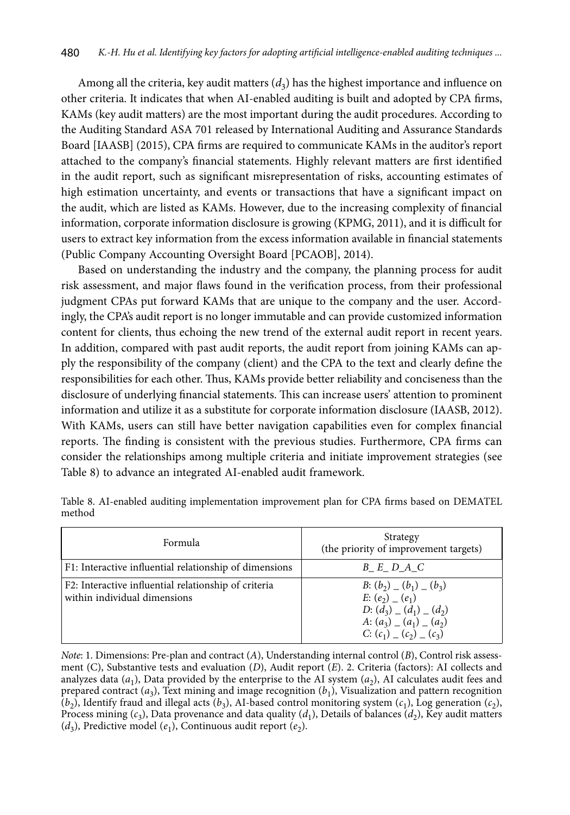Among all the criteria, key audit matters  $(d_3)$  has the highest importance and influence on other criteria. It indicates that when AI-enabled auditing is built and adopted by CPA firms, KAMs (key audit matters) are the most important during the audit procedures. According to the Auditing Standard ASA 701 released by International Auditing and Assurance Standards Board [IAASB] (2015), CPA firms are required to communicate KAMs in the auditor's report attached to the company's financial statements. Highly relevant matters are first identified in the audit report, such as significant misrepresentation of risks, accounting estimates of high estimation uncertainty, and events or transactions that have a significant impact on the audit, which are listed as KAMs. However, due to the increasing complexity of financial information, corporate information disclosure is growing (KPMG, 2011), and it is difficult for users to extract key information from the excess information available in financial statements (Public Company Accounting Oversight Board [PCAOB], 2014).

Based on understanding the industry and the company, the planning process for audit risk assessment, and major flaws found in the verification process, from their professional judgment CPAs put forward KAMs that are unique to the company and the user. Accordingly, the CPA's audit report is no longer immutable and can provide customized information content for clients, thus echoing the new trend of the external audit report in recent years. In addition, compared with past audit reports, the audit report from joining KAMs can apply the responsibility of the company (client) and the CPA to the text and clearly define the responsibilities for each other. Thus, KAMs provide better reliability and conciseness than the disclosure of underlying financial statements. This can increase users' attention to prominent information and utilize it as a substitute for corporate information disclosure (IAASB, 2012). With KAMs, users can still have better navigation capabilities even for complex financial reports. The finding is consistent with the previous studies. Furthermore, CPA firms can consider the relationships among multiple criteria and initiate improvement strategies (see Table 8) to advance an integrated AI-enabled audit framework.

| Formula                                                                              | Strategy<br>(the priority of improvement targets)                                                                                                              |
|--------------------------------------------------------------------------------------|----------------------------------------------------------------------------------------------------------------------------------------------------------------|
| F1: Interactive influential relationship of dimensions                               | B E D A C                                                                                                                                                      |
| F2: Interactive influential relationship of criteria<br>within individual dimensions | B: $(b_2)$ (b <sub>1</sub> ) (b <sub>3</sub> )<br>$E: (e_2)$ $(e_1)$<br>D: $(d_3)$ $(d_1)$ $(d_2)$<br>A: $(a_3)$ $(a_1)$ $(a_2)$<br>C: $(c_1)$ $(c_2)$ $(c_3)$ |

Table 8. AI-enabled auditing implementation improvement plan for CPA firms based on DEMATEL method

*Note*: 1. Dimensions: Pre-plan and contract (*A*), Understanding internal control (*B*), Control risk assessment (C), Substantive tests and evaluation (*D*), Audit report (*E*). 2. Criteria (factors): AI collects and analyzes data  $(a_1)$ , Data provided by the enterprise to the AI system  $(a_2)$ , AI calculates audit fees and prepared contract  $(a_3)$ , Text mining and image recognition  $(b_1)$ , Visualization and pattern recognition  $(b_2)$ , Identify fraud and illegal acts  $(b_3)$ , AI-based control monitoring system  $(c_1)$ , Log generation  $(c_2)$ , Process mining ( $c_3$ ), Data provenance and data quality ( $d_1$ ), Details of balances ( $d_2$ ), Key audit matters  $(d_3)$ , Predictive model  $(e_1)$ , Continuous audit report  $(e_2)$ .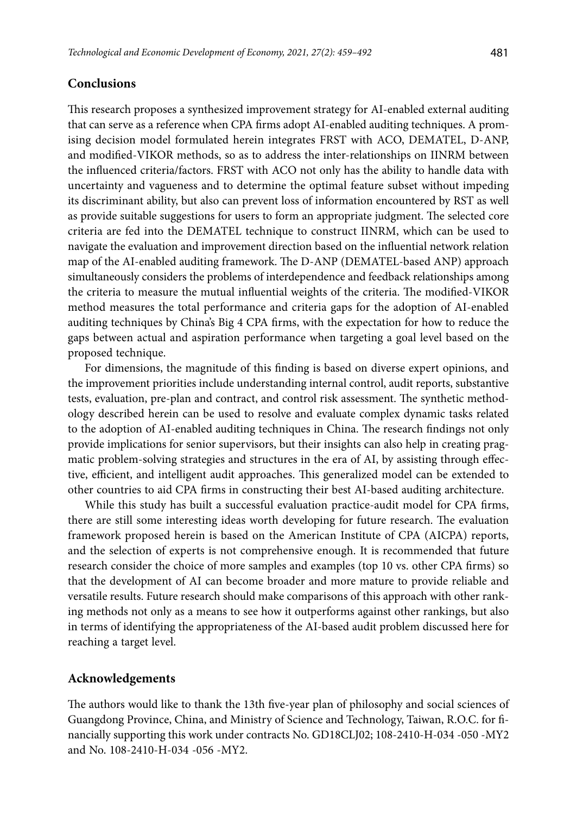# **Conclusions**

This research proposes a synthesized improvement strategy for AI-enabled external auditing that can serve as a reference when CPA firms adopt AI-enabled auditing techniques. A promising decision model formulated herein integrates FRST with ACO, DEMATEL, D-ANP, and modified-VIKOR methods, so as to address the inter-relationships on IINRM between the influenced criteria/factors. FRST with ACO not only has the ability to handle data with uncertainty and vagueness and to determine the optimal feature subset without impeding its discriminant ability, but also can prevent loss of information encountered by RST as well as provide suitable suggestions for users to form an appropriate judgment. The selected core criteria are fed into the DEMATEL technique to construct IINRM, which can be used to navigate the evaluation and improvement direction based on the influential network relation map of the AI-enabled auditing framework. The D-ANP (DEMATEL-based ANP) approach simultaneously considers the problems of interdependence and feedback relationships among the criteria to measure the mutual influential weights of the criteria. The modified-VIKOR method measures the total performance and criteria gaps for the adoption of AI-enabled auditing techniques by China's Big 4 CPA firms, with the expectation for how to reduce the gaps between actual and aspiration performance when targeting a goal level based on the proposed technique.

For dimensions, the magnitude of this finding is based on diverse expert opinions, and the improvement priorities include understanding internal control, audit reports, substantive tests, evaluation, pre-plan and contract, and control risk assessment. The synthetic methodology described herein can be used to resolve and evaluate complex dynamic tasks related to the adoption of AI-enabled auditing techniques in China. The research findings not only provide implications for senior supervisors, but their insights can also help in creating pragmatic problem-solving strategies and structures in the era of AI, by assisting through effective, efficient, and intelligent audit approaches. This generalized model can be extended to other countries to aid CPA firms in constructing their best AI-based auditing architecture.

While this study has built a successful evaluation practice-audit model for CPA firms, there are still some interesting ideas worth developing for future research. The evaluation framework proposed herein is based on the American Institute of CPA (AICPA) reports, and the selection of experts is not comprehensive enough. It is recommended that future research consider the choice of more samples and examples (top 10 vs. other CPA firms) so that the development of AI can become broader and more mature to provide reliable and versatile results. Future research should make comparisons of this approach with other ranking methods not only as a means to see how it outperforms against other rankings, but also in terms of identifying the appropriateness of the AI-based audit problem discussed here for reaching a target level.

## **Acknowledgements**

The authors would like to thank the 13th five-year plan of philosophy and social sciences of Guangdong Province, China, and Ministry of Science and Technology, Taiwan, R.O.C. for financially supporting this work under contracts No. GD18CLJ02; 108-2410-H-034 -050 -MY2 and No. 108-2410-H-034 -056 -MY2.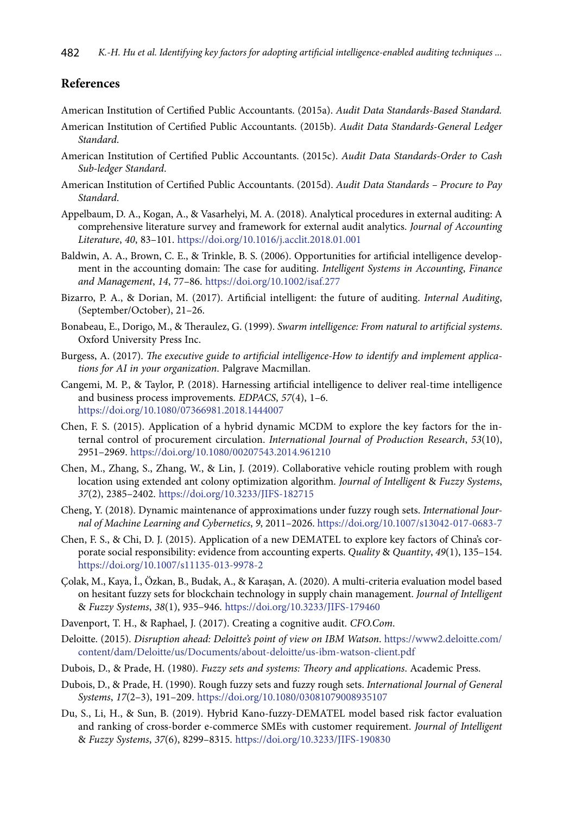## **References**

American Institution of Certified Public Accountants. (2015a). *Audit Data Standards-Based Standard.* 

- American Institution of Certified Public Accountants. (2015b). *Audit Data Standards-General Ledger Standard*.
- American Institution of Certified Public Accountants. (2015c). *Audit Data Standards-Order to Cash Sub-ledger Standard*.
- American Institution of Certified Public Accountants. (2015d). *Audit Data Standards Procure to Pay Standard*.
- Appelbaum, D. A., Kogan, A., & Vasarhelyi, M. A. (2018). Analytical procedures in external auditing: A comprehensive literature survey and framework for external audit analytics. *Journal of Accounting Literature*, *40*, 83–101. <https://doi.org/10.1016/j.acclit.2018.01.001>
- Baldwin, A. A., Brown, C. E., & Trinkle, B. S. (2006). Opportunities for artificial intelligence development in the accounting domain: The case for auditing. *Intelligent Systems in Accounting*, *Finance and Management*, *14*, 77–86. <https://doi.org/10.1002/isaf.277>
- Bizarro, P. A., & Dorian, M. (2017). Artificial intelligent: the future of auditing. *Internal Auditing*, (September/October), 21–26.
- Bonabeau, E., Dorigo, M., & Theraulez, G. (1999). *Swarm intelligence: From natural to artificial systems*. Oxford University Press Inc.
- Burgess, A. (2017). *The executive guide to artificial intelligence-How to identify and implement applications for AI in your organization*. Palgrave Macmillan.
- Cangemi, M. P., & Taylor, P. (2018). Harnessing artificial intelligence to deliver real-time intelligence and business process improvements. *EDPACS*, *57*(4), 1–6. <https://doi.org/10.1080/07366981.2018.1444007>
- Chen, F. S. (2015). Application of a hybrid dynamic MCDM to explore the key factors for the internal control of procurement circulation. *International Journal of Production Research*, *53*(10), 2951–2969. <https://doi.org/10.1080/00207543.2014.961210>
- Chen, M., Zhang, S., Zhang, W., & Lin, J. (2019). Collaborative vehicle routing problem with rough location using extended ant colony optimization algorithm. *Journal of Intelligent* & *Fuzzy Systems*, *37*(2), 2385–2402. <https://doi.org/10.3233/JIFS-182715>
- Cheng, Y. (2018). Dynamic maintenance of approximations under fuzzy rough sets. *International Journal of Machine Learning and Cybernetics*, *9*, 2011–2026. <https://doi.org/10.1007/s13042-017-0683-7>
- Chen, F. S., & Chi, D. J. (2015). Application of a new DEMATEL to explore key factors of China's corporate social responsibility: evidence from accounting experts. *Quality* & *Quantity*, *49*(1), 135–154. <https://doi.org/10.1007/s11135-013-9978-2>
- Çolak, M., Kaya, İ., Özkan, B., Budak, A., & Karaşan, A. (2020). A multi-criteria evaluation model based on hesitant fuzzy sets for blockchain technology in supply chain management. *Journal of Intelligent*  & *Fuzzy Systems*, *38*(1), 935–946. <https://doi.org/10.3233/JIFS-179460>
- Davenport, T. H., & Raphael, J. (2017). Creating a cognitive audit. *CFO.Com*.
- Deloitte. (2015). *Disruption ahead: Deloitte's point of view on IBM Watson*. [https://www2.deloitte.com/](https://www2.deloitte.com/content/dam/Deloitte/us/Documents/about-deloitte/us-ibm-watson-client.pdf) [content/dam/Deloitte/us/Documents/about-deloitte/us-ibm-watson-client.pdf](https://www2.deloitte.com/content/dam/Deloitte/us/Documents/about-deloitte/us-ibm-watson-client.pdf)
- Dubois, D., & Prade, H. (1980). *Fuzzy sets and systems: Theory and applications*. Academic Press.
- Dubois, D., & Prade, H. (1990). Rough fuzzy sets and fuzzy rough sets. *International Journal of General Systems*, *17*(2–3), 191–209. <https://doi.org/10.1080/03081079008935107>
- Du, S., Li, H., & Sun, B. (2019). Hybrid Kano-fuzzy-DEMATEL model based risk factor evaluation and ranking of cross-border e-commerce SMEs with customer requirement. *Journal of Intelligent*  & *Fuzzy Systems*, *37*(6), 8299–8315. <https://doi.org/10.3233/JIFS-190830>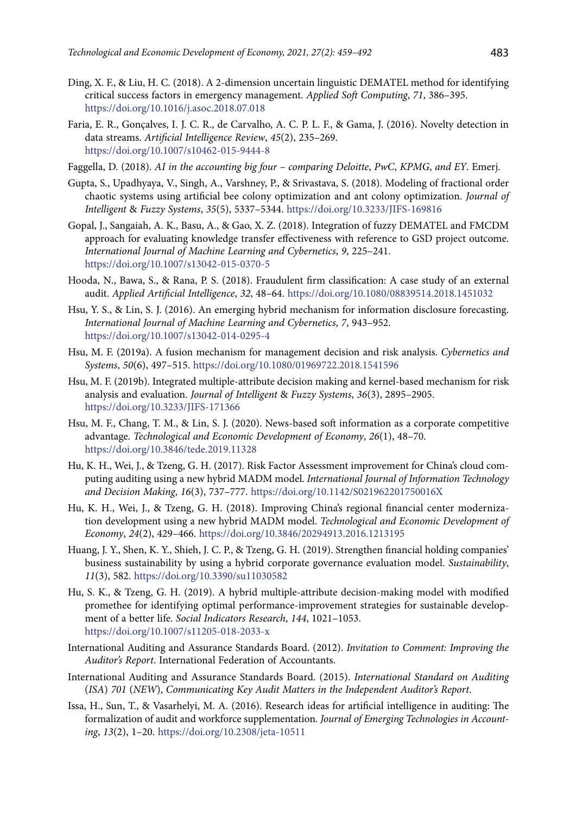- Ding, X. F., & Liu, H. C. (2018). A 2-dimension uncertain linguistic DEMATEL method for identifying critical success factors in emergency management. *Applied Soft Computing*, *71*, 386–395. <https://doi.org/10.1016/j.asoc.2018.07.018>
- Faria, E. R., Gonçalves, I. J. C. R., de Carvalho, A. C. P. L. F., & Gama, J. (2016). Novelty detection in data streams. *Artificial Intelligence Review*, *45*(2), 235–269. <https://doi.org/10.1007/s10462-015-9444-8>
- Faggella, D. (2018). *AI in the accounting big four comparing Deloitte*, *PwC*, *KPMG*, *and EY*. Emerj.
- Gupta, S., Upadhyaya, V., Singh, A., Varshney, P., & Srivastava, S. (2018). Modeling of fractional order chaotic systems using artificial bee colony optimization and ant colony optimization. *Journal of Intelligent* & *Fuzzy Systems*, *35*(5), 5337–5344. <https://doi.org/10.3233/JIFS-169816>
- Gopal, J., Sangaiah, A. K., Basu, A., & Gao, X. Z. (2018). Integration of fuzzy DEMATEL and FMCDM approach for evaluating knowledge transfer effectiveness with reference to GSD project outcome. *International Journal of Machine Learning and Cybernetics*, *9*, 225–241. <https://doi.org/10.1007/s13042-015-0370-5>
- Hooda, N., Bawa, S., & Rana, P. S. (2018). Fraudulent firm classification: A case study of an external audit. *Applied Artificial Intelligence*, *32*, 48–64. <https://doi.org/10.1080/08839514.2018.1451032>
- Hsu, Y. S., & Lin, S. J. (2016). An emerging hybrid mechanism for information disclosure forecasting. *International Journal of Machine Learning and Cybernetics*, *7*, 943–952. <https://doi.org/10.1007/s13042-014-0295-4>
- Hsu, M. F. (2019a). A fusion mechanism for management decision and risk analysis. *Cybernetics and Systems*, *50*(6), 497–515. <https://doi.org/10.1080/01969722.2018.1541596>
- Hsu, M. F. (2019b). Integrated multiple-attribute decision making and kernel-based mechanism for risk analysis and evaluation. *Journal of Intelligent* & *Fuzzy Systems*, *36*(3), 2895–2905. <https://doi.org/10.3233/JIFS-171366>
- Hsu, M. F., Chang, T. M., & Lin, S. J. (2020). News-based soft information as a corporate competitive advantage. *Technological and Economic Development of Economy*, *26*(1), 48–70. <https://doi.org/10.3846/tede.2019.11328>
- Hu, K. H., Wei, J., & Tzeng, G. H. (2017). Risk Factor Assessment improvement for China's cloud computing auditing using a new hybrid MADM model. *International Journal of Information Technology and Decision Making*, *16*(3), 737–777. <https://doi.org/10.1142/S021962201750016X>
- Hu, K. H., Wei, J., & Tzeng, G. H. (2018). Improving China's regional financial center modernization development using a new hybrid MADM model. *Technological and Economic Development of Economy*, *24*(2), 429–466. <https://doi.org/10.3846/20294913.2016.1213195>
- Huang, J. Y., Shen, K. Y., Shieh, J. C. P., & Tzeng, G. H. (2019). Strengthen financial holding companies' business sustainability by using a hybrid corporate governance evaluation model. *Sustainability*, *11*(3), 582. <https://doi.org/10.3390/su11030582>
- Hu, S. K., & Tzeng, G. H. (2019). A hybrid multiple-attribute decision-making model with modified promethee for identifying optimal performance-improvement strategies for sustainable development of a better life. *Social Indicators Research*, *144*, 1021–1053. <https://doi.org/10.1007/s11205-018-2033-x>
- International Auditing and Assurance Standards Board. (2012). *Invitation to Comment: Improving the Auditor's Report*. International Federation of Accountants.
- International Auditing and Assurance Standards Board. (2015). *International Standard on Auditing*  (*ISA*) *701* (*NEW*), *Communicating Key Audit Matters in the Independent Auditor's Report*.
- Issa, H., Sun, T., & Vasarhelyi, M. A. (2016). Research ideas for artificial intelligence in auditing: The formalization of audit and workforce supplementation. *Journal of Emerging Technologies in Accounting*, *13*(2), 1–20. <https://doi.org/10.2308/jeta-10511>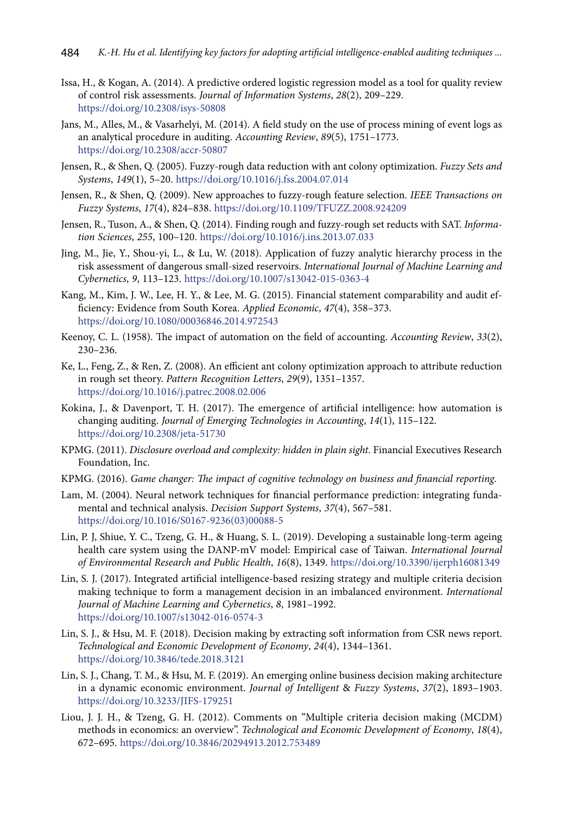- Issa, H., & Kogan, A. (2014). A predictive ordered logistic regression model as a tool for quality review of control risk assessments. *Journal of Information Systems*, *28*(2), 209–229. <https://doi.org/10.2308/isys-50808>
- Jans, M., Alles, M., & Vasarhelyi, M. (2014). A field study on the use of process mining of event logs as an analytical procedure in auditing. *Accounting Review*, *89*(5), 1751–1773. <https://doi.org/10.2308/accr-50807>
- Jensen, R., & Shen, Q. (2005). Fuzzy-rough data reduction with ant colony optimization. *Fuzzy Sets and Systems*, *149*(1), 5–20. <https://doi.org/10.1016/j.fss.2004.07.014>
- Jensen, R., & Shen, Q. (2009). New approaches to fuzzy-rough feature selection. *IEEE Transactions on Fuzzy Systems*, *17*(4), 824–838. <https://doi.org/10.1109/TFUZZ.2008.924209>
- Jensen, R., Tuson, A., & Shen, Q. (2014). Finding rough and fuzzy-rough set reducts with SAT. *Information Sciences*, *255*, 100–120. <https://doi.org/10.1016/j.ins.2013.07.033>
- Jing, M., Jie, Y., Shou-yi, L., & Lu, W. (2018). Application of fuzzy analytic hierarchy process in the risk assessment of dangerous small-sized reservoirs. *International Journal of Machine Learning and Cybernetics*, *9*, 113–123. <https://doi.org/10.1007/s13042-015-0363-4>
- Kang, M., Kim, J. W., Lee, H. Y., & Lee, M. G. (2015). Financial statement comparability and audit efficiency: Evidence from South Korea. *Applied Economic*, *47*(4), 358–373. <https://doi.org/10.1080/00036846.2014.972543>
- Keenoy, C. L. (1958). The impact of automation on the field of accounting. *Accounting Review*, *33*(2), 230–236.
- Ke, L., Feng, Z., & Ren, Z. (2008). An efficient ant colony optimization approach to attribute reduction in rough set theory. *Pattern Recognition Letters*, *29*(9), 1351–1357. <https://doi.org/10.1016/j.patrec.2008.02.006>
- Kokina, J., & Davenport, T. H. (2017). The emergence of artificial intelligence: how automation is changing auditing. *Journal of Emerging Technologies in Accounting*, *14*(1), 115–122. <https://doi.org/10.2308/jeta-51730>
- KPMG. (2011). *Disclosure overload and complexity: hidden in plain sight*. Financial Executives Research Foundation, Inc.
- KPMG. (2016). *Game changer: The impact of cognitive technology on business and financial reporting*.
- Lam, M. (2004). Neural network techniques for financial performance prediction: integrating fundamental and technical analysis. *Decision Support Systems*, *37*(4), 567–581. [https://doi.org/10.1016/S0167-9236\(03\)00088-5](https://doi.org/10.1016/S0167-9236(03)00088-5)
- Lin, P. J, Shiue, Y. C., Tzeng, G. H., & Huang, S. L. (2019). Developing a sustainable long-term ageing health care system using the DANP-mV model: Empirical case of Taiwan. *International Journal of Environmental Research and Public Health*, *16*(8), 1349. <https://doi.org/10.3390/ijerph16081349>
- Lin, S. J. (2017). Integrated artificial intelligence-based resizing strategy and multiple criteria decision making technique to form a management decision in an imbalanced environment. *International Journal of Machine Learning and Cybernetics*, *8*, 1981–1992. <https://doi.org/10.1007/s13042-016-0574-3>
- Lin, S. J., & Hsu, M. F. (2018). Decision making by extracting soft information from CSR news report. *Technological and Economic Development of Economy*, *24*(4), 1344–1361. <https://doi.org/10.3846/tede.2018.3121>
- Lin, S. J., Chang, T. M., & Hsu, M. F. (2019). An emerging online business decision making architecture in a dynamic economic environment. *Journal of Intelligent* & *Fuzzy Systems*, *37*(2), 1893–1903. <https://doi.org/10.3233/JIFS-179251>
- Liou, J. J. H., & Tzeng, G. H. (2012). Comments on "Multiple criteria decision making (MCDM) methods in economics: an overview". *Technological and Economic Development of Economy*, *18*(4), 672–695. <https://doi.org/10.3846/20294913.2012.753489>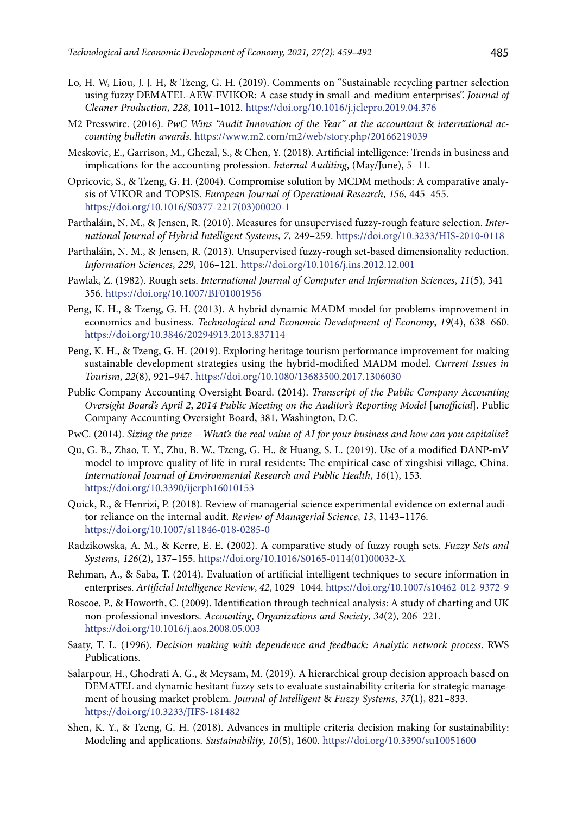- Lo, H. W, Liou, J. J. H, & Tzeng, G. H. (2019). Comments on "Sustainable recycling partner selection using fuzzy DEMATEL-AEW-FVIKOR: A case study in small-and-medium enterprises". *Journal of Cleaner Production*, *228*, 1011–1012. <https://doi.org/10.1016/j.jclepro.2019.04.376>
- M2 Presswire. (2016). *PwC Wins ''Audit Innovation of the Year'' at the accountant* & *international accounting bulletin awards*. <https://www.m2.com/m2/web/story.php/20166219039>
- Meskovic, E., Garrison, M., Ghezal, S., & Chen, Y. (2018). Artificial intelligence: Trends in business and implications for the accounting profession. *Internal Auditing*, (May/June), 5–11.
- Opricovic, S., & Tzeng, G. H. (2004). Compromise solution by MCDM methods: A comparative analysis of VIKOR and TOPSIS. *European Journal of Operational Research*, *156*, 445–455. [https://doi.org/10.1016/S0377-2217\(03\)00020-1](https://doi.org/10.1016/S0377-2217(03)00020-1)
- Parthaláin, N. M., & Jensen, R. (2010). Measures for unsupervised fuzzy-rough feature selection. *International Journal of Hybrid Intelligent Systems*, *7*, 249–259. <https://doi.org/10.3233/HIS-2010-0118>
- Parthaláin, N. M., & Jensen, R. (2013). Unsupervised fuzzy-rough set-based dimensionality reduction. *Information Sciences*, *229*, 106–121. <https://doi.org/10.1016/j.ins.2012.12.001>
- Pawlak, Z. (1982). Rough sets. *International Journal of Computer and Information Sciences*, *11*(5), 341– 356. <https://doi.org/10.1007/BF01001956>
- Peng, K. H., & Tzeng, G. H. (2013). A hybrid dynamic MADM model for problems-improvement in economics and business. *Technological and Economic Development of Economy*, *19*(4), 638–660. <https://doi.org/10.3846/20294913.2013.837114>
- Peng, K. H., & Tzeng, G. H. (2019). Exploring heritage tourism performance improvement for making sustainable development strategies using the hybrid-modified MADM model. *Current Issues in Tourism*, *22*(8), 921–947. <https://doi.org/10.1080/13683500.2017.1306030>
- Public Company Accounting Oversight Board. (2014). *Transcript of the Public Company Accounting Oversight Board's April 2*, *2014 Public Meeting on the Auditor's Reporting Model* [*unofficial*]. Public Company Accounting Oversight Board, 381, Washington, D.C.
- PwC. (2014). *Sizing the prize What's the real value of AI for your business and how can you capitalise*?
- Qu, G. B., Zhao, T. Y., Zhu, B. W., Tzeng, G. H., & Huang, S. L. (2019). Use of a modified DANP-mV model to improve quality of life in rural residents: The empirical case of xingshisi village, China. *International Journal of Environmental Research and Public Health*, *16*(1), 153. <https://doi.org/10.3390/ijerph16010153>
- Quick, R., & Henrizi, P. (2018). Review of managerial science experimental evidence on external auditor reliance on the internal audit. *Review of Managerial Science*, *13*, 1143–1176. <https://doi.org/10.1007/s11846-018-0285-0>
- Radzikowska, A. M., & Kerre, E. E. (2002). A comparative study of fuzzy rough sets. *Fuzzy Sets and Systems*, *126*(2), 137–155. [https://doi.org/10.1016/S0165-0114\(01\)00032-X](https://doi.org/10.1016/S0165-0114(01)00032-X)
- Rehman, A., & Saba, T. (2014). Evaluation of artificial intelligent techniques to secure information in enterprises. *Artificial Intelligence Review*, *42*, 1029–1044.<https://doi.org/10.1007/s10462-012-9372-9>
- Roscoe, P., & Howorth, C. (2009). Identification through technical analysis: A study of charting and UK non-professional investors. *Accounting*, *Organizations and Society*, *34*(2), 206–221. <https://doi.org/10.1016/j.aos.2008.05.003>
- Saaty, T. L. (1996). *Decision making with dependence and feedback: Analytic network process*. RWS Publications.
- Salarpour, H., Ghodrati A. G., & Meysam, M. (2019). A hierarchical group decision approach based on DEMATEL and dynamic hesitant fuzzy sets to evaluate sustainability criteria for strategic management of housing market problem. *Journal of Intelligent* & *Fuzzy Systems*, *37*(1), 821–833. <https://doi.org/10.3233/JIFS-181482>
- Shen, K. Y., & Tzeng, G. H. (2018). Advances in multiple criteria decision making for sustainability: Modeling and applications. *Sustainability*, *10*(5), 1600. <https://doi.org/10.3390/su10051600>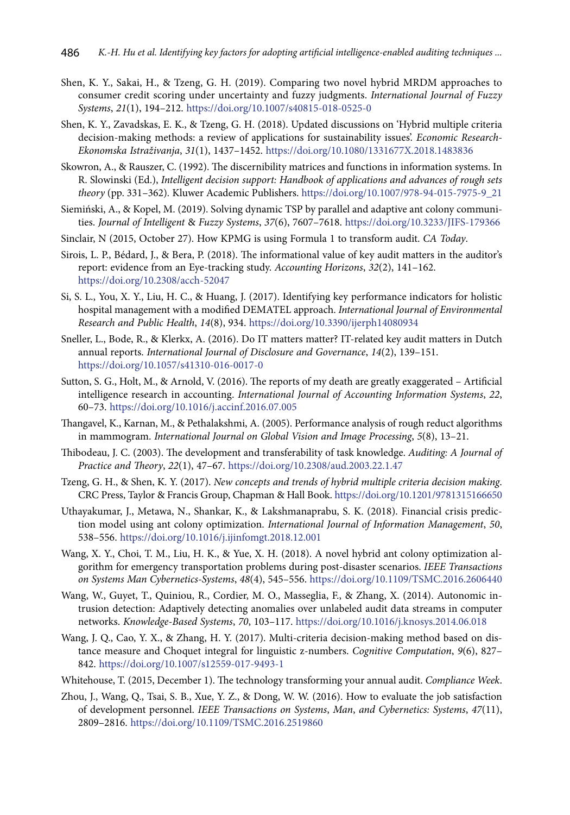- Shen, K. Y., Sakai, H., & Tzeng, G. H. (2019). Comparing two novel hybrid MRDM approaches to consumer credit scoring under uncertainty and fuzzy judgments. *International Journal of Fuzzy Systems*, *21*(1), 194–212. <https://doi.org/10.1007/s40815-018-0525-0>
- Shen, K. Y., Zavadskas, E. K., & Tzeng, G. H. (2018). Updated discussions on 'Hybrid multiple criteria decision-making methods: a review of applications for sustainability issues'. *Economic Research-Ekonomska Istraživanja*, *31*(1), 1437–1452. <https://doi.org/10.1080/1331677X.2018.1483836>
- Skowron, A., & Rauszer, C. (1992). The discernibility matrices and functions in information systems. In R. Slowinski (Ed.), *Intelligent decision support: Handbook of applications and advances of rough sets theory* (pp. 331–362)*.* Kluwer Academic Publishers. [https://doi.org/10.1007/978-94-015-7975-9\\_21](https://doi.org/10.1007/978-94-015-7975-9_21)
- Siemiński, A., & Kopel, M. (2019). Solving dynamic TSP by parallel and adaptive ant colony communities. *Journal of Intelligent* & *Fuzzy Systems*, *37*(6), 7607–7618. <https://doi.org/10.3233/JIFS-179366>
- Sinclair, N (2015, October 27). How KPMG is using Formula 1 to transform audit. *CA Today*.
- Sirois, L. P., Bédard, J., & Bera, P. (2018). The informational value of key audit matters in the auditor's report: evidence from an Eye-tracking study. *Accounting Horizons*, *32*(2), 141–162. <https://doi.org/10.2308/acch-52047>
- Si, S. L., You, X. Y., Liu, H. C., & Huang, J. (2017). Identifying key performance indicators for holistic hospital management with a modified DEMATEL approach. *International Journal of Environmental Research and Public Health*, *14*(8), 934. <https://doi.org/10.3390/ijerph14080934>
- Sneller, L., Bode, R., & Klerkx, A. (2016). Do IT matters matter? IT-related key audit matters in Dutch annual reports. *International Journal of Disclosure and Governance*, *14*(2), 139–151. <https://doi.org/10.1057/s41310-016-0017-0>
- Sutton, S. G., Holt, M., & Arnold, V. (2016). The reports of my death are greatly exaggerated Artificial intelligence research in accounting. *International Journal of Accounting Information Systems*, *22*, 60–73. <https://doi.org/10.1016/j.accinf.2016.07.005>
- Thangavel, K., Karnan, M., & Pethalakshmi, A. (2005). Performance analysis of rough reduct algorithms in mammogram. *International Journal on Global Vision and Image Processing*, *5*(8), 13–21.
- Thibodeau, J. C. (2003). The development and transferability of task knowledge. *Auditing: A Journal of Practice and Theory*, *22*(1), 47–67. <https://doi.org/10.2308/aud.2003.22.1.47>
- Tzeng, G. H., & Shen, K. Y. (2017). *New concepts and trends of hybrid multiple criteria decision making*. CRC Press, Taylor & Francis Group, Chapman & Hall Book. <https://doi.org/10.1201/9781315166650>
- Uthayakumar, J., Metawa, N., Shankar, K., & Lakshmanaprabu, S. K. (2018). Financial crisis prediction model using ant colony optimization. *International Journal of Information Management*, *50*, 538–556. <https://doi.org/10.1016/j.ijinfomgt.2018.12.001>
- Wang, X. Y., Choi, T. M., Liu, H. K., & Yue, X. H. (2018). A novel hybrid ant colony optimization algorithm for emergency transportation problems during post-disaster scenarios. *IEEE Transactions on Systems Man Cybernetics-Systems*, *48*(4), 545–556. <https://doi.org/10.1109/TSMC.2016.2606440>
- Wang, W., Guyet, T., Quiniou, R., Cordier, M. O., Masseglia, F., & Zhang, X. (2014). Autonomic intrusion detection: Adaptively detecting anomalies over unlabeled audit data streams in computer networks. *Knowledge-Based Systems*, *70*, 103–117. <https://doi.org/10.1016/j.knosys.2014.06.018>
- Wang, J. Q., Cao, Y. X., & Zhang, H. Y. (2017). Multi-criteria decision-making method based on distance measure and Choquet integral for linguistic z-numbers. *Cognitive Computation*, *9*(6), 827– 842. <https://doi.org/10.1007/s12559-017-9493-1>
- Whitehouse, T. (2015, December 1). The technology transforming your annual audit. *Compliance Week*.
- Zhou, J., Wang, Q., Tsai, S. B., Xue, Y. Z., & Dong, W. W. (2016). How to evaluate the job satisfaction of development personnel. *IEEE Transactions on Systems*, *Man*, *and Cybernetics: Systems*, *47*(11), 2809–2816. <https://doi.org/10.1109/TSMC.2016.2519860>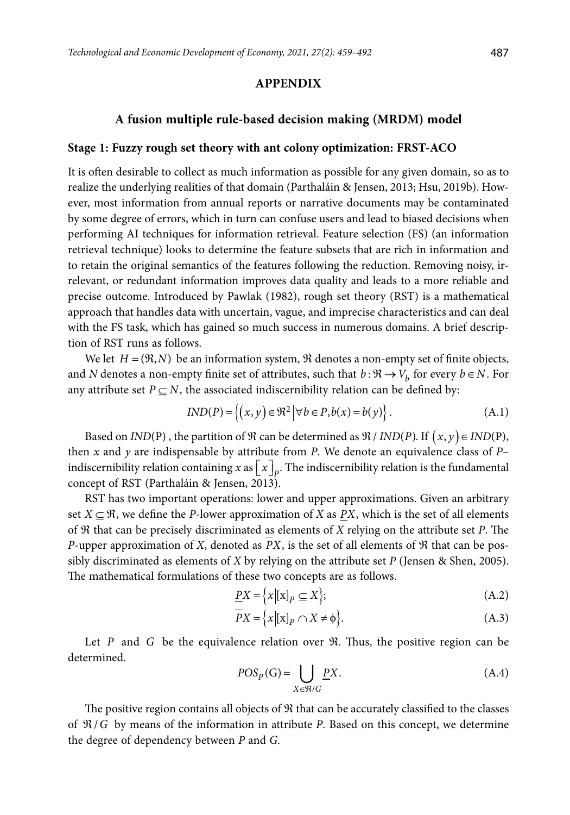## **APPENDIX**

### **A fusion multiple rule-based decision making (MRDM) model**

#### **Stage 1: Fuzzy rough set theory with ant colony optimization: FRST-ACO**

It is often desirable to collect as much information as possible for any given domain, so as to realize the underlying realities of that domain (Parthaláin & Jensen, 2013; Hsu, 2019b). However, most information from annual reports or narrative documents may be contaminated by some degree of errors, which in turn can confuse users and lead to biased decisions when performing AI techniques for information retrieval. Feature selection (FS) (an information retrieval technique) looks to determine the feature subsets that are rich in information and to retain the original semantics of the features following the reduction. Removing noisy, irrelevant, or redundant information improves data quality and leads to a more reliable and precise outcome. Introduced by Pawlak (1982), rough set theory (RST) is a mathematical approach that handles data with uncertain, vague, and imprecise characteristics and can deal with the FS task, which has gained so much success in numerous domains. A brief description of RST runs as follows.

We let  $H = (\mathfrak{R}, N)$  be an information system,  $\mathfrak R$  denotes a non-empty set of finite objects, and *N* denotes a non-empty finite set of attributes, such that  $b : \Re \rightarrow V_h$  for every  $b \in N$ . For any attribute set  $P \subseteq N$ , the associated indiscernibility relation can be defined by:

$$
IND(P) = \{(x, y) \in \mathbb{R}^2 \, \big| \forall \, b \in P, b(x) = b(y) \}.
$$
 (A.1)

Based on *IND*(P), the partition of  $\Re$  can be determined as  $\Re / IND(P)$ . If  $(x, y) \in IND(P)$ , then *x* and *y* are indispensable by attribute from *P*. We denote an equivalence class of *P*– indiscernibility relation containing *x* as  $\lceil x \rceil_n$ . The indiscernibility relation is the fundamental concept of RST (Parthaláin & Jensen, 2013).

RST has two important operations: lower and upper approximations. Given an arbitrary set  $X \subseteq \mathfrak{R}$ , we define the *P*-lower approximation of *X* as *PX*, which is the set of all elements of ℜ that can be precisely discriminated as elements of *X* relying on the attribute set *P*. The *P*-upper approximation of *X*, denoted as *PX*, is the set of all elements of  $\Re$  that can be possibly discriminated as elements of *X* by relying on the attribute set *P* (Jensen & Shen, 2005). The mathematical formulations of these two concepts are as follows.

$$
\underline{PX} = \left\{ x | [x]_P \subseteq X \right\};\tag{A.2}
$$

$$
\overline{P}X = \left\{ x \middle| \left[ x \right]_P \cap X \neq \emptyset \right\}.
$$
\n(A.3)

Let *P* and *G* be the equivalence relation over  $\Re$ . Thus, the positive region can be determined.

$$
POS_{P}(G)=\bigcup_{X\in\mathfrak{R}/G}\underline{P}X.\tag{A.4}
$$

The positive region contains all objects of  $\Re$  that can be accurately classified to the classes of ℜ/*G* by means of the information in attribute *P*. Based on this concept, we determine the degree of dependency between *P* and *G*.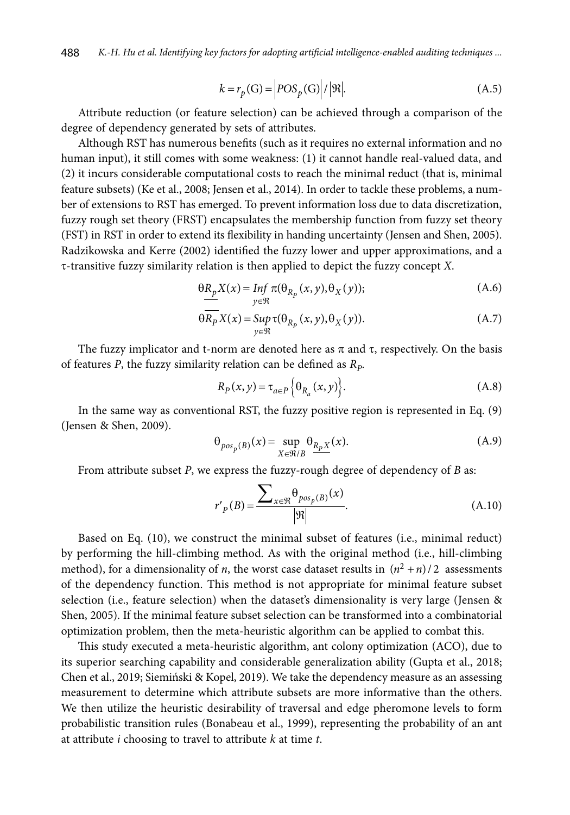$$
k = r_p(\mathbf{G}) = \left| POS_p(\mathbf{G}) \right| / |\mathfrak{R}|. \tag{A.5}
$$

Attribute reduction (or feature selection) can be achieved through a comparison of the degree of dependency generated by sets of attributes.

Although RST has numerous benefits (such as it requires no external information and no human input), it still comes with some weakness: (1) it cannot handle real-valued data, and (2) it incurs considerable computational costs to reach the minimal reduct (that is, minimal feature subsets) (Ke et al., 2008; Jensen et al., 2014). In order to tackle these problems, a number of extensions to RST has emerged. To prevent information loss due to data discretization, fuzzy rough set theory (FRST) encapsulates the membership function from fuzzy set theory (FST) in RST in order to extend its flexibility in handing uncertainty (Jensen and Shen, 2005). Radzikowska and Kerre (2002) identified the fuzzy lower and upper approximations, and a t-transitive fuzzy similarity relation is then applied to depict the fuzzy concept *X*.

$$
\underbrace{\theta R_p X(x)}_{y \in \mathfrak{R}} = \inf_{y \in \mathfrak{R}} \pi(\theta_{R_p}(x, y), \theta_X(y));
$$
\n(A.6)

$$
\theta \overline{R_P} X(x) = \sup_{y \in \mathfrak{R}} \tau(\theta_{R_P}(x, y), \theta_X(y)).
$$
\n(A.7)

The fuzzy implicator and t-norm are denoted here as  $\pi$  and  $\tau$ , respectively. On the basis of features *P*, the fuzzy similarity relation can be defined as  $R_p$ .

$$
R_P(x, y) = \tau_{a \in P} \left\{ \Theta_{R_a}(x, y) \right\}.
$$
 (A.8)

In the same way as conventional RST, the fuzzy positive region is represented in Eq. (9) (Jensen & Shen, 2009).

$$
\Theta_{pos_p(B)}(x) = \sup_{X \in \mathfrak{R}/B} \Theta_{\underline{R}_p X}(x).
$$
\n(A.9)

From attribute subset *P*, we express the fuzzy-rough degree of dependency of *B* as:

$$
r'_{P}(B) = \frac{\sum_{x \in \mathfrak{R}} \theta_{pos_{P}(B)}(x)}{|\mathfrak{R}|}.
$$
 (A.10)

Based on Eq. (10), we construct the minimal subset of features (i.e., minimal reduct) by performing the hill-climbing method. As with the original method (i.e., hill-climbing method), for a dimensionality of *n*, the worst case dataset results in  $(n^2 + n)/2$  assessments of the dependency function. This method is not appropriate for minimal feature subset selection (i.e., feature selection) when the dataset's dimensionality is very large (Jensen & Shen, 2005). If the minimal feature subset selection can be transformed into a combinatorial optimization problem, then the meta-heuristic algorithm can be applied to combat this.

This study executed a meta-heuristic algorithm, ant colony optimization (ACO), due to its superior searching capability and considerable generalization ability (Gupta et al., 2018; Chen et al., 2019; Siemiński & Kopel, 2019). We take the dependency measure as an assessing measurement to determine which attribute subsets are more informative than the others. We then utilize the heuristic desirability of traversal and edge pheromone levels to form probabilistic transition rules (Bonabeau et al., 1999), representing the probability of an ant at attribute *i* choosing to travel to attribute *k* at time *t*.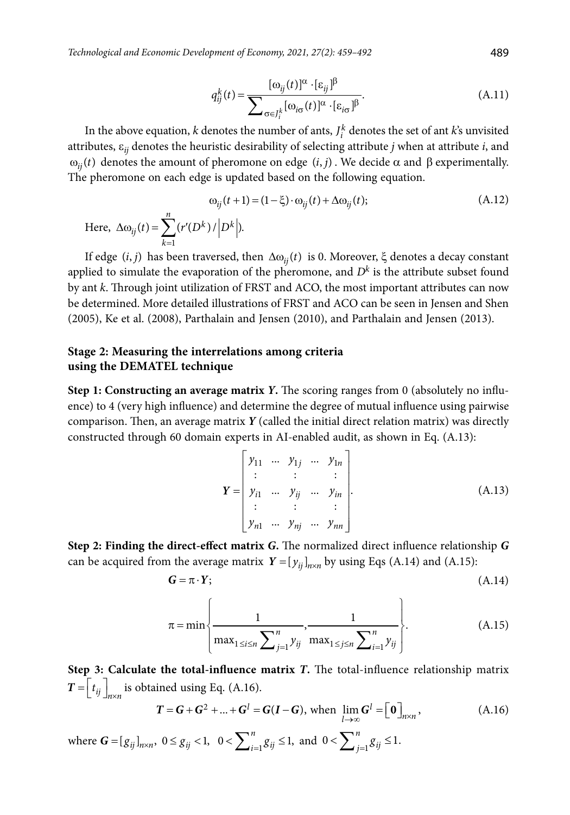*Technological and Economic Development of Economy, 2021, 27(2): 459–492* 489

$$
q_{ij}^{k}(t) = \frac{[\omega_{ij}(t)]^{\alpha} \cdot [\varepsilon_{ij}]^{\beta}}{\sum_{\sigma \in J_{i}^{k}} [\omega_{i\sigma}(t)]^{\alpha} \cdot [\varepsilon_{i\sigma}]^{\beta}}.
$$
(A.11)

In the above equation, *k* denotes the number of ants,  $J_i^k$  denotes the set of ant *k*'s unvisited attributes, e*ij* denotes the heuristic desirability of selecting attribute *j* when at attribute *i*, and  $ω_{ij}(t)$  denotes the amount of pheromone on edge  $(i, j)$ . We decide  $α$  and  $β$  experimentally. The pheromone on each edge is updated based on the following equation.

$$
\omega_{ij}(t+1) = (1 - \xi) \cdot \omega_{ij}(t) + \Delta \omega_{ij}(t); \tag{A.12}
$$
  
Here,  $\Delta \omega_{ij}(t) = \sum_{k=1}^{n} (r'(D^k)/|D^k|).$ 

If edge  $(i, j)$  has been traversed, then  $\Delta\omega_{ij}(t)$  is 0. Moreover,  $\xi$  denotes a decay constant applied to simulate the evaporation of the pheromone, and  $D<sup>k</sup>$  is the attribute subset found by ant *k*. Through joint utilization of FRST and ACO, the most important attributes can now be determined. More detailed illustrations of FRST and ACO can be seen in Jensen and Shen (2005), Ke et al. (2008), Parthalain and Jensen (2010), and Parthalain and Jensen (2013).

## **Stage 2: Measuring the interrelations among criteria using the DEMATEL technique**

**Step 1: Constructing an average matrix** *Y***.** The scoring ranges from 0 (absolutely no influence) to 4 (very high influence) and determine the degree of mutual influence using pairwise comparison. Then, an average matrix *Y* (called the initial direct relation matrix) was directly constructed through 60 domain experts in AI-enabled audit, as shown in Eq. (A.13):

$$
\mathbf{Y} = \begin{bmatrix} y_{11} & \cdots & y_{1j} & \cdots & y_{1n} \\ \vdots & & \vdots & & \vdots \\ y_{i1} & \cdots & y_{ij} & \cdots & y_{in} \\ \vdots & & \vdots & & \vdots \\ y_{n1} & \cdots & y_{nj} & \cdots & y_{nn} \end{bmatrix} .
$$
 (A.13)

**Step 2: Finding the direct-effect matrix** *G***.** The normalized direct influence relationship *G* can be acquired from the average matrix  $Y = [y_{ij}]_{n \times n}$  by using Eqs (A.14) and (A.15):

$$
G = \pi \cdot Y; \tag{A.14}
$$

$$
\pi = \min \left\{ \frac{1}{\max_{1 \le i \le n} \sum_{j=1}^{n} y_{ij}}, \frac{1}{\max_{1 \le j \le n} \sum_{i=1}^{n} y_{ij}} \right\}.
$$
 (A.15)

**Step 3: Calculate the total-influence matrix** *T***.** The total-influence relationship matrix  $T = \begin{bmatrix} t_{ij} \end{bmatrix}$  is obtained using Eq. (A.16).

$$
T = G + G2 + ... + Gl = G(I - G), \text{ when } \lim_{l \to \infty} Gl = [0]_{n \times n}, \qquad (A.16)
$$

where  $G = [g_{ij}]_{n \times n}$ ,  $0 \le g_{ij} < 1$ ,  $0 < \sum_{i=1}^{n} g_{ij} \le 1$ , and  $0 < \sum_{j=1}^{n} g_{ij} \le 1$ .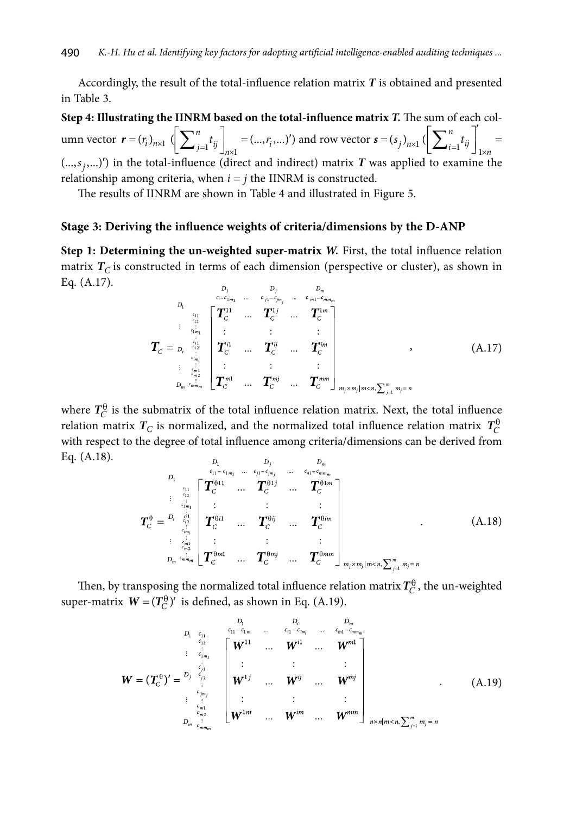Accordingly, the result of the total-influence relation matrix *T* is obtained and presented in Table 3.

**Step 4: Illustrating the IINRM based on the total-influence matrix** *T.* The sum of each column vector  $\mathbf{r} = (r_i)_{n \times 1} \left( \sum_{j=1}^n t_{ij} \right)_{n \times 1} = (\dots, r_i, \dots)$  $\left[ \sum_{j=1}^{n} t_{ij} \right]_{n \times 1} = (..., r_i, ...)')$  and row vector  $s = (s_j)_{n \times 1}$   $\left( \sum_{i=1}^{n} t_{ij} \right)_{1 \times n} =$  $\left[\sum_{i=1}^n t_{ij}\right]_{1\times n}^{\prime}$  =  $(\ldots, s_j, \ldots)'$  in the total-influence (direct and indirect) matrix *T* was applied to examine the relationship among criteria, when  $i = i$  the IINRM is constructed  $(i, j, j, \ldots)$  *j* in the total-influence (uncer and indirect) matrix *I* w relationship among criteria, when  $i = j$  the IINRM is constructed.

The results of IINRM are shown in Table 4 and illustrated in Figure 5.

#### **Stage 3: Deriving the influence weights of criteria/dimensions by the D-ANP**

**Step 1: Determining the un-weighted super-matrix** *W***. First, the total influence relation** matrix  $T_C$  is constructed in terms of each dimension (perspective or cluster), as shown in Eq. (A.17).

$$
T_{C} = p_{i} \begin{bmatrix} \sum_{i=1}^{L_{C}} 1 & \sum_{j=1}^{L_{C}} 1 & \sum_{j=1}^{L_{C}} 1 & \sum_{j=1}^{L_{C}} 1 & \sum_{j=1}^{L_{C}} 1 & \sum_{j=1}^{L_{C}} 1 & \sum_{j=1}^{L_{C}} 1 & \sum_{j=1}^{L_{C}} 1 & \sum_{j=1}^{L_{C}} 1 & \sum_{j=1}^{L_{C}} 1 & \sum_{j=1}^{L_{C}} 1 & \sum_{j=1}^{L_{C}} 1 & \sum_{j=1}^{L_{C}} 1 & \sum_{j=1}^{L_{C}} 1 & \sum_{j=1}^{L_{C}} 1 & \sum_{j=1}^{L_{C}} 1 & \sum_{j=1}^{L_{C}} 1 & \sum_{j=1}^{L_{C}} 1 & \sum_{j=1}^{L_{C}} 1 & \sum_{j=1}^{L_{C}} 1 & \sum_{j=1}^{L_{C}} 1 & \sum_{j=1}^{L_{C}} 1 & \sum_{j=1}^{L_{C}} 1 & \sum_{j=1}^{L_{C}} 1 & \sum_{j=1}^{L_{C}} 1 & \sum_{j=1}^{L_{C}} 1 & \sum_{j=1}^{L_{C}} 1 & \sum_{j=1}^{L_{C}} 1 & \sum_{j=1}^{L_{C}} 1 & \sum_{j=1}^{L_{C}} 1 & \sum_{j=1}^{L_{C}} 1 & \sum_{j=1}^{L_{C}} 1 & \sum_{j=1}^{L_{C}} 1 & \sum_{j=1}^{L_{C}} 1 & \sum_{j=1}^{L_{C}} 1 & \sum_{j=1}^{L_{C}} 1 & \sum_{j=1}^{L_{C}} 1 & \sum_{j=1}^{L_{C}} 1 & \sum_{j=1}^{L_{C}} 1 & \sum_{j=1}^{L_{C}} 1 & \sum_{j=1}^{L_{C}} 1 & \sum_{j=1}^{L_{C}} 1 & \sum_{j=1}^{L_{C}} 1 & \sum_{j=1}^{L_{C}} 1 & \sum_{j=1}^{L_{C}} 1 & \sum_{j=1}^{L_{C}} 1 & \sum_{j=1}^{L_{C}} 1 & \sum_{j=1}^{L_{C}} 1 & \sum_{j=1}^{L_{C}} 1 & \sum_{j=1}^{L
$$

where  $T_C^{\theta}$  is the submatrix of the total influence relation matrix. Next, the total influence relation matrix  $T_C$  is normalized, and the normalized total influence relation matrix  $T_C^{\theta}$ with respect to the degree of total influence among criteria/dimensions can be derived from Eq. (A.18).  $\overline{D}$  $\overline{D}$  $\overline{D}$ 

$$
T_{C}^{\theta} = \begin{bmatrix} D_{1} & c_{11} - c_{1m_{1}} & \cdots & c_{j1} - c_{jm_{j}} & \cdots & c_{n1} - c_{m m_{m}} \\ \vdots & \vdots & \vdots & \vdots & \vdots & \vdots \\ c_{1m_{1}} & T_{C}^{\theta 11} & \cdots & T_{C}^{\theta 1j} & \cdots & T_{C}^{\theta 1m} \\ \vdots & \vdots & \vdots & \vdots & \vdots \\ c_{m1}^{\theta m_{1}} & T_{C}^{\theta 11} & \cdots & T_{C}^{\theta ij} & \cdots & T_{C}^{\theta im} \\ \vdots & \vdots & \vdots & \vdots & \vdots \\ c_{m1}^{\theta m_{1}} & \cdots & T_{C}^{\theta m j} & \cdots & T_{C}^{\theta m m} \end{bmatrix}_{m_{j} \times m_{j} | m < n, \sum_{i=1}^{m} m_{j} = n}
$$
\n(A.18)

Then, by transposing the normalized total influence relation matrix  $T_C^{\theta}$ , the un-weighted super-matrix  $W = (T_C^{\theta})'$  is defined, as shown in Eq. (A.19).

$$
W = (T_{C}^{\theta})' = \begin{bmatrix} D_{1} & D_{1} & D_{1} & D_{m} \\ C_{11} & C_{11} & C_{11} & C_{1m} \\ \vdots & \vdots & \vdots & \vdots & \vdots \\ C_{m1} & C_{1m1} & C_{1m2} & C_{1m3} \\ \vdots & \vdots & \vdots & \vdots & \vdots \\ C_{mn1} & C_{mn2} & C_{mn3} & C_{mn4} \\ \vdots & \vdots & \vdots & \vdots & \vdots \\ C_{mn2} & C_{mn3} & C_{mn4} & C_{mn5} \end{bmatrix} \begin{bmatrix} W^{11} & \cdots & W^{11} & \cdots & W^{m1} \\ \vdots & \vdots & \vdots & \vdots \\ W^{1j} & \cdots & W^{ij} & \cdots & W^{mj} \\ \vdots & \vdots & \vdots & \vdots \\ W^{1m1} & \cdots & W^{ij} & \cdots & W^{mn1} \\ \vdots & \vdots & \vdots & \vdots \\ W^{1m2} & \cdots & W^{mn1} & W^{mn1} \end{bmatrix}_{n \times n | m < n, \sum_{j=1}^{m} m_j = n} (A.19)
$$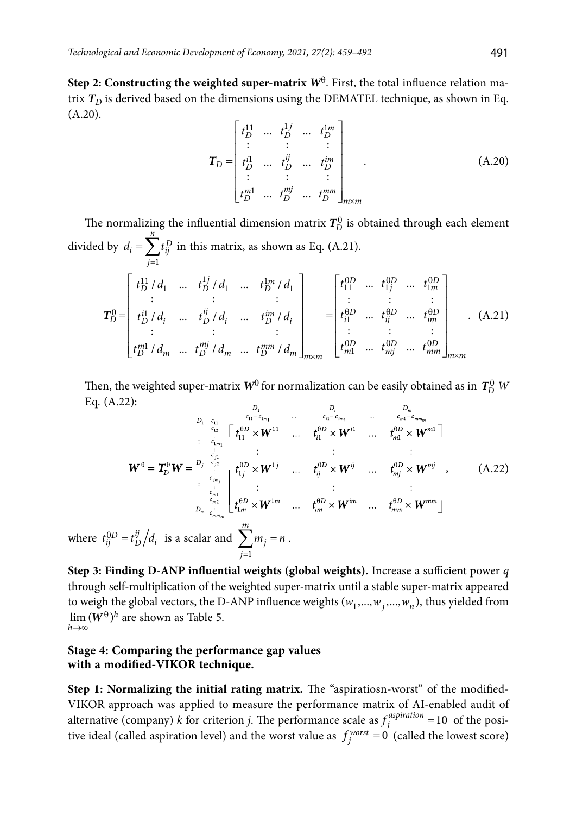**Step 2: Constructing the weighted super-matrix**  $W^{\theta}$ **. First, the total influence relation ma**trix  $T<sub>D</sub>$  is derived based on the dimensions using the DEMATEL technique, as shown in Eq. (A.20).

$$
T_{D} = \begin{bmatrix} t_{D}^{11} & \dots & t_{D}^{1j} & \dots & t_{D}^{1m} \\ \vdots & \vdots & \vdots & & \vdots \\ t_{D}^{i1} & \dots & t_{D}^{ij} & \dots & t_{D}^{im} \\ \vdots & \vdots & \vdots & & \vdots \\ t_{D}^{m1} & \dots & t_{D}^{mj} & \dots & t_{D}^{mm} \end{bmatrix}_{m \times m}
$$
 (A.20)

The normalizing the influential dimension matrix  $T_D^0$  is obtained through each element divided by 1 *n*  $d_i = \sum t_{ij}^D$  in this matrix, as shown as Eq. (A.21). *j* =  $T_D^{\theta}$ 11 1 1 11 1 11 1 1  $/d_1$  ...  $t_D^{1j}/d_1$  ...  $t_D^{1m}/d_1$  |  $t_{11}^{\theta D}$  ...  $t_{1j}^{\theta D}$  ... :: : :::  $\int_D^{11} f d_1$  *m*  $t_D^{1j} f d_1$  *m*  $t_D^{1m} f d_1$   $\qquad \qquad$   $\left| t_{11}^{0D}$  *m*  $t_{1j}^{0D}$  *m*  $t_{1m}^{0D}$  $t_D^{11}/d_1$  *...*  $t_D^{1j}/d_1$  *...*  $t_D^{1m}/d_1$  |  $t_{11}^{40D}$  *...*  $t_{1j}^{40D}$  *...* 1  $\theta D$   $t \theta D$   $t \theta$ q qq q  $\left[\begin{array}{cccc} t^{11}_{D}/d_1 & \ldots & t^{1j}_{D}/d_1 & \ldots & t^{1m}_{D}/d_1 \end{array}\right] \qquad \left[\begin{array}{cccc} t^{0D}_{11} & \ldots & t^{0D}_{1j} & \ldots & t^{0D}_{1m} \end{array}\right]$ 

$$
T_D^{\theta} = \begin{bmatrix} t_D^{i1} / d_i & \dots & t_D^{iij} / d_i & \dots & t_D^{im} / d_i \\ \vdots & \vdots & \vdots & \vdots \\ t_D^{m1} / d_m & \dots & t_D^{mj} / d_m & \dots & t_D^{mm} / d_m \end{bmatrix}_{m \times m} = \begin{bmatrix} t_{i1}^{\theta D} & \dots & t_{ij}^{\theta D} & \dots & t_{im}^{\theta D} \\ \vdots & \vdots & \vdots & \vdots \\ t_{m1}^{\theta D} & \dots & t_{mj}^{\theta D} & \dots & t_{mn}^{\theta D} \\ \vdots & \vdots & \vdots & \vdots \\ t_{m1}^{\theta D} & \dots & t_{mj}^{\theta D} & \dots & t_{mn}^{\theta D} \end{bmatrix}_{m \times m}.
$$
 (A.21)

Then, the weighted super-matrix  $W^{\theta}$  for normalization can be easily obtained as in  $T_D^{\theta}$   $W$ Eq. (A.22):  $\overline{D}$ 

$$
W^{\theta} = T_{D}^{\theta} W = \sum_{\begin{subarray}{l}i_{1} \text{ times } i_{1} \text{ times } i_{1} \text{ times } i_{1} \text{ times } i_{1} \text{ times } i_{1} \text{ times } i_{1} \text{ times } i_{1} \text{ times } i_{1} \text{ times } i_{1} \text{ times } i_{1} \text{ times } i_{1} \text{ times } i_{1} \text{ times } i_{1} \text{ times } i_{1} \text{ times } i_{1} \text{ times } i_{1} \text{ times } i_{1} \text{ times } i_{1} \text{ times } i_{1} \text{ times } i_{1} \text{ times } i_{1} \text{ times } i_{1} \text{ times } i_{1} \text{ times } i_{1} \text{ times } i_{1} \text{ times } i_{1} \text{ times } i_{1} \text{ times } i_{1} \text{ times } i_{1} \text{ times } i_{1} \text{ times } i_{1} \text{ times } i_{1} \text{ times } i_{1} \text{ times } i_{1} \text{ times } i_{1} \text{ times } i_{1} \text{ times } i_{1} \text{ times } i_{1} \text{ times } i_{1} \text{ times } i_{1} \text{ times } i_{1} \text{ times } i_{1} \text{ times } i_{1} \text{ times } i_{1} \text{ times } i_{1} \text{ times } i_{1} \text{ times } i_{1} \text{ times } i_{1} \text{ times } i_{1} \text{ times } i_{1} \text{ times } i_{1} \text{ times } i_{1} \text{ times } i_{1} \text{ times } i_{1} \text{ times } i_{1} \text{ times } i_{1} \text{ times } i_{1} \text{ times } i_{1} \text{ times } i_{1} \text{ times } i_{1} \text{ times } i_{1} \text{ times } i_{1} \text{ times } i_{1} \text{ times } i_{1} \text{ times } i_{1} \text{ times } i_{1} \text{ times } i_{1} \text{ times } i_{1} \text{ times } i_{1} \text{ times } i_{1} \text{ times } i_{1} \text{ times } i_{1} \text{ times } i_{1} \text{ times } i_{1} \text{ times } i_{1} \text{ times } i_{1} \text{ times } i_{1} \text{ times } i_{1} \text{ times } i_{1} \text{ times } i_{1} \text{ times } i_{1
$$

where  $t_{ij}^{\theta D} = t_{D}^{ij} / d_i$  is a scalar and 1 *j* =

**Step 3: Finding D-ANP influential weights (global weights).** Increase a sufficient power *q* through self-multiplication of the weighted super-matrix until a stable super-matrix appeared to weigh the global vectors, the D-ANP influence weights  $(w_1, ..., w_j, ..., w_n)$ , thus yielded from  $\lim (W^{\theta})^h$  are shown as Table 5. *h* →∞

# **Stage 4: Comparing the performance gap values with a modified-VIKOR technique.**

**Step 1: Normalizing the initial rating matrix***.* The "aspiratiosn-worst" of the modified-VIKOR approach was applied to measure the performance matrix of AI-enabled audit of alternative (company) *k* for criterion *j*. The performance scale as  $f_j^{aspiration} = 10$  of the positive ideal (called aspiration level) and the worst value as  $f_j^{worst} = 0$  (called the lowest score)